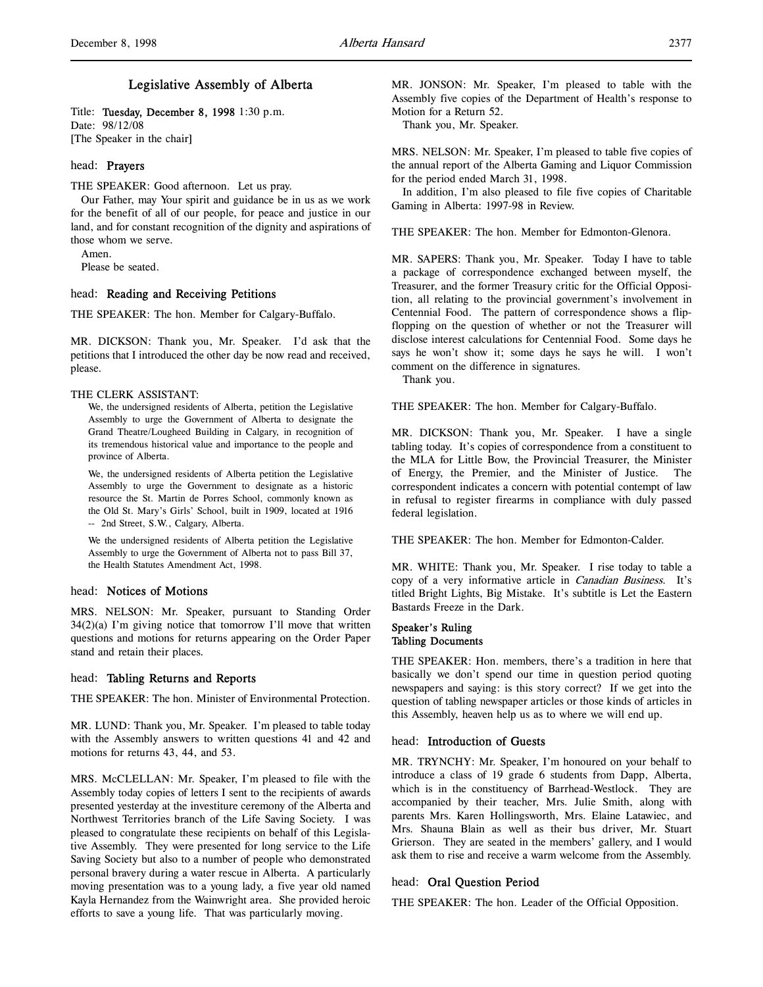## Legislative Assembly of Alberta

Title: Tuesday, December 8, 1998 1:30 p.m. Date: 98/12/08 [The Speaker in the chair]

### head: Prayers

THE SPEAKER: Good afternoon. Let us pray.

Our Father, may Your spirit and guidance be in us as we work for the benefit of all of our people, for peace and justice in our land, and for constant recognition of the dignity and aspirations of those whom we serve.

Amen.

Please be seated.

## head: Reading and Receiving Petitions

THE SPEAKER: The hon. Member for Calgary-Buffalo.

MR. DICKSON: Thank you, Mr. Speaker. I'd ask that the petitions that I introduced the other day be now read and received, please.

### THE CLERK ASSISTANT:

We, the undersigned residents of Alberta, petition the Legislative Assembly to urge the Government of Alberta to designate the Grand Theatre/Lougheed Building in Calgary, in recognition of its tremendous historical value and importance to the people and province of Alberta.

We, the undersigned residents of Alberta petition the Legislative Assembly to urge the Government to designate as a historic resource the St. Martin de Porres School, commonly known as the Old St. Mary's Girls' School, built in 1909, located at 1916 -- 2nd Street, S.W., Calgary, Alberta.

We the undersigned residents of Alberta petition the Legislative Assembly to urge the Government of Alberta not to pass Bill 37, the Health Statutes Amendment Act, 1998.

## head: Notices of Motions

MRS. NELSON: Mr. Speaker, pursuant to Standing Order  $34(2)(a)$  I'm giving notice that tomorrow I'll move that written questions and motions for returns appearing on the Order Paper stand and retain their places.

## head: Tabling Returns and Reports

THE SPEAKER: The hon. Minister of Environmental Protection.

MR. LUND: Thank you, Mr. Speaker. I'm pleased to table today with the Assembly answers to written questions 41 and 42 and motions for returns 43, 44, and 53.

MRS. McCLELLAN: Mr. Speaker, I'm pleased to file with the Assembly today copies of letters I sent to the recipients of awards presented yesterday at the investiture ceremony of the Alberta and Northwest Territories branch of the Life Saving Society. I was pleased to congratulate these recipients on behalf of this Legislative Assembly. They were presented for long service to the Life Saving Society but also to a number of people who demonstrated personal bravery during a water rescue in Alberta. A particularly moving presentation was to a young lady, a five year old named Kayla Hernandez from the Wainwright area. She provided heroic efforts to save a young life. That was particularly moving.

MR. JONSON: Mr. Speaker, I'm pleased to table with the Assembly five copies of the Department of Health's response to Motion for a Return 52.

Thank you, Mr. Speaker.

MRS. NELSON: Mr. Speaker, I'm pleased to table five copies of the annual report of the Alberta Gaming and Liquor Commission for the period ended March 31, 1998.

In addition, I'm also pleased to file five copies of Charitable Gaming in Alberta: 1997-98 in Review.

THE SPEAKER: The hon. Member for Edmonton-Glenora.

MR. SAPERS: Thank you, Mr. Speaker. Today I have to table a package of correspondence exchanged between myself, the Treasurer, and the former Treasury critic for the Official Opposition, all relating to the provincial government's involvement in Centennial Food. The pattern of correspondence shows a flipflopping on the question of whether or not the Treasurer will disclose interest calculations for Centennial Food. Some days he says he won't show it; some days he says he will. I won't comment on the difference in signatures.

Thank you.

THE SPEAKER: The hon. Member for Calgary-Buffalo.

MR. DICKSON: Thank you, Mr. Speaker. I have a single tabling today. It's copies of correspondence from a constituent to the MLA for Little Bow, the Provincial Treasurer, the Minister of Energy, the Premier, and the Minister of Justice. The correspondent indicates a concern with potential contempt of law in refusal to register firearms in compliance with duly passed federal legislation.

THE SPEAKER: The hon. Member for Edmonton-Calder.

MR. WHITE: Thank you, Mr. Speaker. I rise today to table a copy of a very informative article in Canadian Business. It's titled Bright Lights, Big Mistake. It's subtitle is Let the Eastern Bastards Freeze in the Dark.

### Speaker's Ruling Tabling Documents

THE SPEAKER: Hon. members, there's a tradition in here that basically we don't spend our time in question period quoting newspapers and saying: is this story correct? If we get into the question of tabling newspaper articles or those kinds of articles in this Assembly, heaven help us as to where we will end up.

## head: Introduction of Guests

MR. TRYNCHY: Mr. Speaker, I'm honoured on your behalf to introduce a class of 19 grade 6 students from Dapp, Alberta, which is in the constituency of Barrhead-Westlock. They are accompanied by their teacher, Mrs. Julie Smith, along with parents Mrs. Karen Hollingsworth, Mrs. Elaine Latawiec, and Mrs. Shauna Blain as well as their bus driver, Mr. Stuart Grierson. They are seated in the members' gallery, and I would ask them to rise and receive a warm welcome from the Assembly.

## head: Oral Question Period

THE SPEAKER: The hon. Leader of the Official Opposition.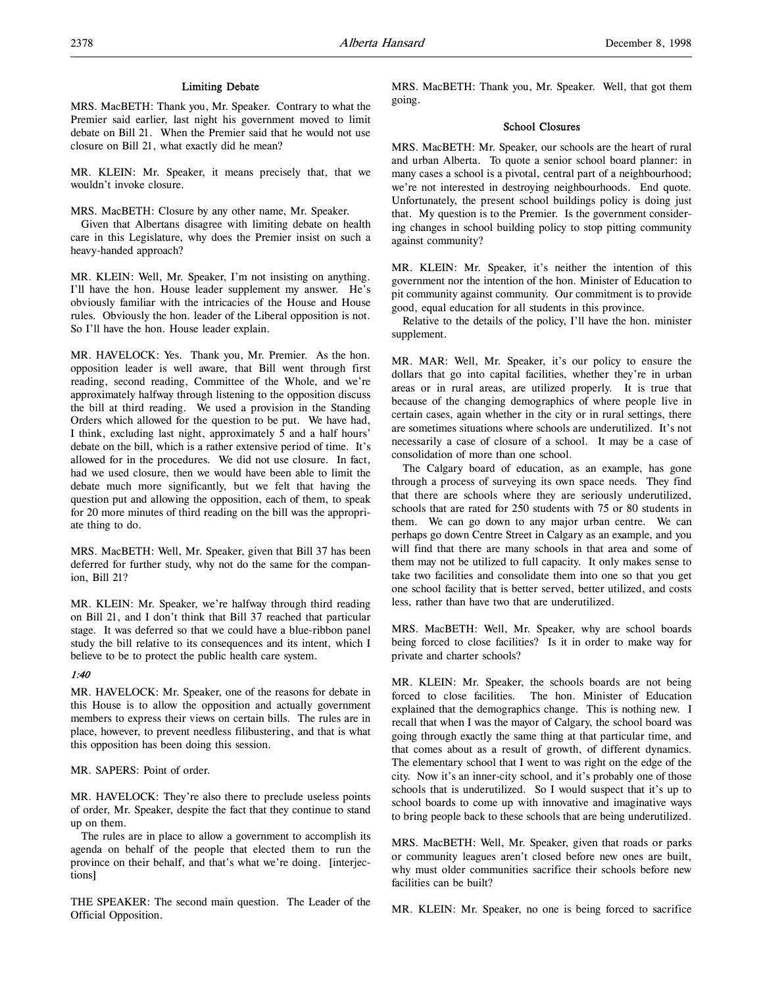## Limiting Debate

MRS. MacBETH: Thank you, Mr. Speaker. Contrary to what the Premier said earlier, last night his government moved to limit debate on Bill 21. When the Premier said that he would not use closure on Bill 21, what exactly did he mean?

MR. KLEIN: Mr. Speaker, it means precisely that, that we wouldn't invoke closure.

MRS. MacBETH: Closure by any other name, Mr. Speaker.

Given that Albertans disagree with limiting debate on health care in this Legislature, why does the Premier insist on such a heavy-handed approach?

MR. KLEIN: Well, Mr. Speaker, I'm not insisting on anything. I'll have the hon. House leader supplement my answer. He's obviously familiar with the intricacies of the House and House rules. Obviously the hon. leader of the Liberal opposition is not. So I'll have the hon. House leader explain.

MR. HAVELOCK: Yes. Thank you, Mr. Premier. As the hon. opposition leader is well aware, that Bill went through first reading, second reading, Committee of the Whole, and we're approximately halfway through listening to the opposition discuss the bill at third reading. We used a provision in the Standing Orders which allowed for the question to be put. We have had, I think, excluding last night, approximately 5 and a half hours' debate on the bill, which is a rather extensive period of time. It's allowed for in the procedures. We did not use closure. In fact, had we used closure, then we would have been able to limit the debate much more significantly, but we felt that having the question put and allowing the opposition, each of them, to speak for 20 more minutes of third reading on the bill was the appropriate thing to do.

MRS. MacBETH: Well, Mr. Speaker, given that Bill 37 has been deferred for further study, why not do the same for the companion, Bill 21?

MR. KLEIN: Mr. Speaker, we're halfway through third reading on Bill 21, and I don't think that Bill 37 reached that particular stage. It was deferred so that we could have a blue-ribbon panel study the bill relative to its consequences and its intent, which I believe to be to protect the public health care system.

## 1:40

MR. HAVELOCK: Mr. Speaker, one of the reasons for debate in this House is to allow the opposition and actually government members to express their views on certain bills. The rules are in place, however, to prevent needless filibustering, and that is what this opposition has been doing this session.

## MR. SAPERS: Point of order.

MR. HAVELOCK: They're also there to preclude useless points of order, Mr. Speaker, despite the fact that they continue to stand up on them.

The rules are in place to allow a government to accomplish its agenda on behalf of the people that elected them to run the province on their behalf, and that's what we're doing. [interjections]

THE SPEAKER: The second main question. The Leader of the Official Opposition.

MRS. MacBETH: Thank you, Mr. Speaker. Well, that got them going.

## School Closures

MRS. MacBETH: Mr. Speaker, our schools are the heart of rural and urban Alberta. To quote a senior school board planner: in many cases a school is a pivotal, central part of a neighbourhood; we're not interested in destroying neighbourhoods. End quote. Unfortunately, the present school buildings policy is doing just that. My question is to the Premier. Is the government considering changes in school building policy to stop pitting community against community?

MR. KLEIN: Mr. Speaker, it's neither the intention of this government nor the intention of the hon. Minister of Education to pit community against community. Our commitment is to provide good, equal education for all students in this province.

Relative to the details of the policy, I'll have the hon. minister supplement.

MR. MAR: Well, Mr. Speaker, it's our policy to ensure the dollars that go into capital facilities, whether they're in urban areas or in rural areas, are utilized properly. It is true that because of the changing demographics of where people live in certain cases, again whether in the city or in rural settings, there are sometimes situations where schools are underutilized. It's not necessarily a case of closure of a school. It may be a case of consolidation of more than one school.

The Calgary board of education, as an example, has gone through a process of surveying its own space needs. They find that there are schools where they are seriously underutilized, schools that are rated for 250 students with 75 or 80 students in them. We can go down to any major urban centre. We can perhaps go down Centre Street in Calgary as an example, and you will find that there are many schools in that area and some of them may not be utilized to full capacity. It only makes sense to take two facilities and consolidate them into one so that you get one school facility that is better served, better utilized, and costs less, rather than have two that are underutilized.

MRS. MacBETH: Well, Mr. Speaker, why are school boards being forced to close facilities? Is it in order to make way for private and charter schools?

MR. KLEIN: Mr. Speaker, the schools boards are not being forced to close facilities. The hon. Minister of Education explained that the demographics change. This is nothing new. I recall that when I was the mayor of Calgary, the school board was going through exactly the same thing at that particular time, and that comes about as a result of growth, of different dynamics. The elementary school that I went to was right on the edge of the city. Now it's an inner-city school, and it's probably one of those schools that is underutilized. So I would suspect that it's up to school boards to come up with innovative and imaginative ways to bring people back to these schools that are being underutilized.

MRS. MacBETH: Well, Mr. Speaker, given that roads or parks or community leagues aren't closed before new ones are built, why must older communities sacrifice their schools before new facilities can be built?

MR. KLEIN: Mr. Speaker, no one is being forced to sacrifice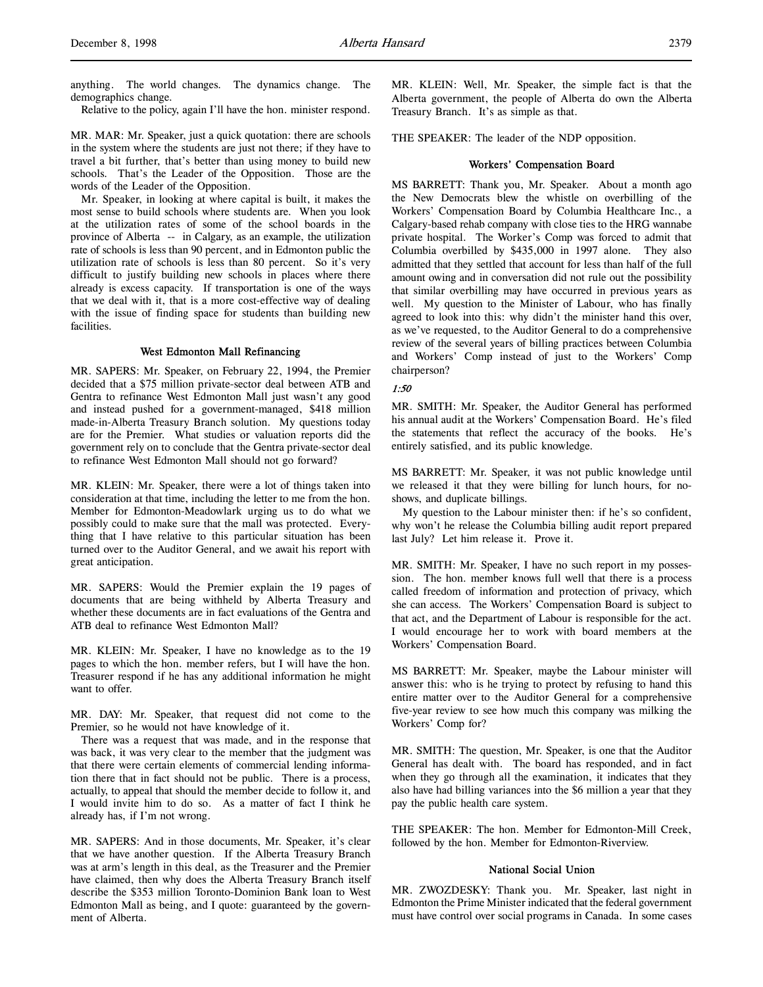anything. The world changes. The dynamics change. The demographics change.

Relative to the policy, again I'll have the hon. minister respond.

MR. MAR: Mr. Speaker, just a quick quotation: there are schools in the system where the students are just not there; if they have to travel a bit further, that's better than using money to build new schools. That's the Leader of the Opposition. Those are the words of the Leader of the Opposition.

Mr. Speaker, in looking at where capital is built, it makes the most sense to build schools where students are. When you look at the utilization rates of some of the school boards in the province of Alberta -- in Calgary, as an example, the utilization rate of schools is less than 90 percent, and in Edmonton public the utilization rate of schools is less than 80 percent. So it's very difficult to justify building new schools in places where there already is excess capacity. If transportation is one of the ways that we deal with it, that is a more cost-effective way of dealing with the issue of finding space for students than building new facilities.

### West Edmonton Mall Refinancing

MR. SAPERS: Mr. Speaker, on February 22, 1994, the Premier decided that a \$75 million private-sector deal between ATB and Gentra to refinance West Edmonton Mall just wasn't any good and instead pushed for a government-managed, \$418 million made-in-Alberta Treasury Branch solution. My questions today are for the Premier. What studies or valuation reports did the government rely on to conclude that the Gentra private-sector deal to refinance West Edmonton Mall should not go forward?

MR. KLEIN: Mr. Speaker, there were a lot of things taken into consideration at that time, including the letter to me from the hon. Member for Edmonton-Meadowlark urging us to do what we possibly could to make sure that the mall was protected. Everything that I have relative to this particular situation has been turned over to the Auditor General, and we await his report with great anticipation.

MR. SAPERS: Would the Premier explain the 19 pages of documents that are being withheld by Alberta Treasury and whether these documents are in fact evaluations of the Gentra and ATB deal to refinance West Edmonton Mall?

MR. KLEIN: Mr. Speaker, I have no knowledge as to the 19 pages to which the hon. member refers, but I will have the hon. Treasurer respond if he has any additional information he might want to offer.

MR. DAY: Mr. Speaker, that request did not come to the Premier, so he would not have knowledge of it.

There was a request that was made, and in the response that was back, it was very clear to the member that the judgment was that there were certain elements of commercial lending information there that in fact should not be public. There is a process, actually, to appeal that should the member decide to follow it, and I would invite him to do so. As a matter of fact I think he already has, if I'm not wrong.

MR. SAPERS: And in those documents, Mr. Speaker, it's clear that we have another question. If the Alberta Treasury Branch was at arm's length in this deal, as the Treasurer and the Premier have claimed, then why does the Alberta Treasury Branch itself describe the \$353 million Toronto-Dominion Bank loan to West Edmonton Mall as being, and I quote: guaranteed by the government of Alberta.

MR. KLEIN: Well, Mr. Speaker, the simple fact is that the Alberta government, the people of Alberta do own the Alberta Treasury Branch. It's as simple as that.

THE SPEAKER: The leader of the NDP opposition.

## Workers' Compensation Board

MS BARRETT: Thank you, Mr. Speaker. About a month ago the New Democrats blew the whistle on overbilling of the Workers' Compensation Board by Columbia Healthcare Inc., a Calgary-based rehab company with close ties to the HRG wannabe private hospital. The Worker's Comp was forced to admit that Columbia overbilled by \$435,000 in 1997 alone. They also admitted that they settled that account for less than half of the full amount owing and in conversation did not rule out the possibility that similar overbilling may have occurred in previous years as well. My question to the Minister of Labour, who has finally agreed to look into this: why didn't the minister hand this over, as we've requested, to the Auditor General to do a comprehensive review of the several years of billing practices between Columbia and Workers' Comp instead of just to the Workers' Comp chairperson?

## 1:50

MR. SMITH: Mr. Speaker, the Auditor General has performed his annual audit at the Workers' Compensation Board. He's filed the statements that reflect the accuracy of the books. He's entirely satisfied, and its public knowledge.

MS BARRETT: Mr. Speaker, it was not public knowledge until we released it that they were billing for lunch hours, for noshows, and duplicate billings.

My question to the Labour minister then: if he's so confident, why won't he release the Columbia billing audit report prepared last July? Let him release it. Prove it.

MR. SMITH: Mr. Speaker, I have no such report in my possession. The hon. member knows full well that there is a process called freedom of information and protection of privacy, which she can access. The Workers' Compensation Board is subject to that act, and the Department of Labour is responsible for the act. I would encourage her to work with board members at the Workers' Compensation Board.

MS BARRETT: Mr. Speaker, maybe the Labour minister will answer this: who is he trying to protect by refusing to hand this entire matter over to the Auditor General for a comprehensive five-year review to see how much this company was milking the Workers' Comp for?

MR. SMITH: The question, Mr. Speaker, is one that the Auditor General has dealt with. The board has responded, and in fact when they go through all the examination, it indicates that they also have had billing variances into the \$6 million a year that they pay the public health care system.

THE SPEAKER: The hon. Member for Edmonton-Mill Creek, followed by the hon. Member for Edmonton-Riverview.

#### National Social Union

MR. ZWOZDESKY: Thank you. Mr. Speaker, last night in Edmonton the Prime Minister indicated that the federal government must have control over social programs in Canada. In some cases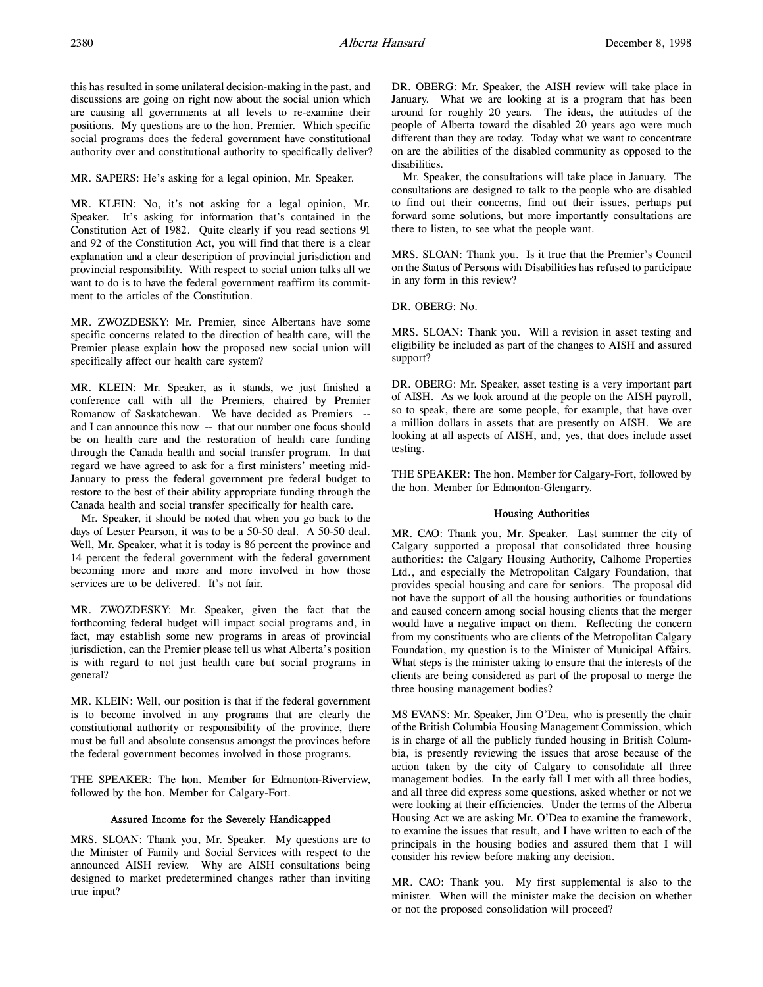this has resulted in some unilateral decision-making in the past, and discussions are going on right now about the social union which are causing all governments at all levels to re-examine their positions. My questions are to the hon. Premier. Which specific social programs does the federal government have constitutional authority over and constitutional authority to specifically deliver?

MR. SAPERS: He's asking for a legal opinion, Mr. Speaker.

MR. KLEIN: No, it's not asking for a legal opinion, Mr. Speaker. It's asking for information that's contained in the Constitution Act of 1982. Quite clearly if you read sections 91 and 92 of the Constitution Act, you will find that there is a clear explanation and a clear description of provincial jurisdiction and provincial responsibility. With respect to social union talks all we want to do is to have the federal government reaffirm its commitment to the articles of the Constitution.

MR. ZWOZDESKY: Mr. Premier, since Albertans have some specific concerns related to the direction of health care, will the Premier please explain how the proposed new social union will specifically affect our health care system?

MR. KLEIN: Mr. Speaker, as it stands, we just finished a conference call with all the Premiers, chaired by Premier Romanow of Saskatchewan. We have decided as Premiers - and I can announce this now -- that our number one focus should be on health care and the restoration of health care funding through the Canada health and social transfer program. In that regard we have agreed to ask for a first ministers' meeting mid-January to press the federal government pre federal budget to restore to the best of their ability appropriate funding through the Canada health and social transfer specifically for health care.

Mr. Speaker, it should be noted that when you go back to the days of Lester Pearson, it was to be a 50-50 deal. A 50-50 deal. Well, Mr. Speaker, what it is today is 86 percent the province and 14 percent the federal government with the federal government becoming more and more and more involved in how those services are to be delivered. It's not fair.

MR. ZWOZDESKY: Mr. Speaker, given the fact that the forthcoming federal budget will impact social programs and, in fact, may establish some new programs in areas of provincial jurisdiction, can the Premier please tell us what Alberta's position is with regard to not just health care but social programs in general?

MR. KLEIN: Well, our position is that if the federal government is to become involved in any programs that are clearly the constitutional authority or responsibility of the province, there must be full and absolute consensus amongst the provinces before the federal government becomes involved in those programs.

THE SPEAKER: The hon. Member for Edmonton-Riverview, followed by the hon. Member for Calgary-Fort.

## Assured Income for the Severely Handicapped

MRS. SLOAN: Thank you, Mr. Speaker. My questions are to the Minister of Family and Social Services with respect to the announced AISH review. Why are AISH consultations being designed to market predetermined changes rather than inviting true input?

DR. OBERG: Mr. Speaker, the AISH review will take place in January. What we are looking at is a program that has been around for roughly 20 years. The ideas, the attitudes of the people of Alberta toward the disabled 20 years ago were much different than they are today. Today what we want to concentrate on are the abilities of the disabled community as opposed to the disabilities.

Mr. Speaker, the consultations will take place in January. The consultations are designed to talk to the people who are disabled to find out their concerns, find out their issues, perhaps put forward some solutions, but more importantly consultations are there to listen, to see what the people want.

MRS. SLOAN: Thank you. Is it true that the Premier's Council on the Status of Persons with Disabilities has refused to participate in any form in this review?

DR. OBERG: No.

MRS. SLOAN: Thank you. Will a revision in asset testing and eligibility be included as part of the changes to AISH and assured support?

DR. OBERG: Mr. Speaker, asset testing is a very important part of AISH. As we look around at the people on the AISH payroll, so to speak, there are some people, for example, that have over a million dollars in assets that are presently on AISH. We are looking at all aspects of AISH, and, yes, that does include asset testing.

THE SPEAKER: The hon. Member for Calgary-Fort, followed by the hon. Member for Edmonton-Glengarry.

## Housing Authorities

MR. CAO: Thank you, Mr. Speaker. Last summer the city of Calgary supported a proposal that consolidated three housing authorities: the Calgary Housing Authority, Calhome Properties Ltd., and especially the Metropolitan Calgary Foundation, that provides special housing and care for seniors. The proposal did not have the support of all the housing authorities or foundations and caused concern among social housing clients that the merger would have a negative impact on them. Reflecting the concern from my constituents who are clients of the Metropolitan Calgary Foundation, my question is to the Minister of Municipal Affairs. What steps is the minister taking to ensure that the interests of the clients are being considered as part of the proposal to merge the three housing management bodies?

MS EVANS: Mr. Speaker, Jim O'Dea, who is presently the chair of the British Columbia Housing Management Commission, which is in charge of all the publicly funded housing in British Columbia, is presently reviewing the issues that arose because of the action taken by the city of Calgary to consolidate all three management bodies. In the early fall I met with all three bodies, and all three did express some questions, asked whether or not we were looking at their efficiencies. Under the terms of the Alberta Housing Act we are asking Mr. O'Dea to examine the framework, to examine the issues that result, and I have written to each of the principals in the housing bodies and assured them that I will consider his review before making any decision.

MR. CAO: Thank you. My first supplemental is also to the minister. When will the minister make the decision on whether or not the proposed consolidation will proceed?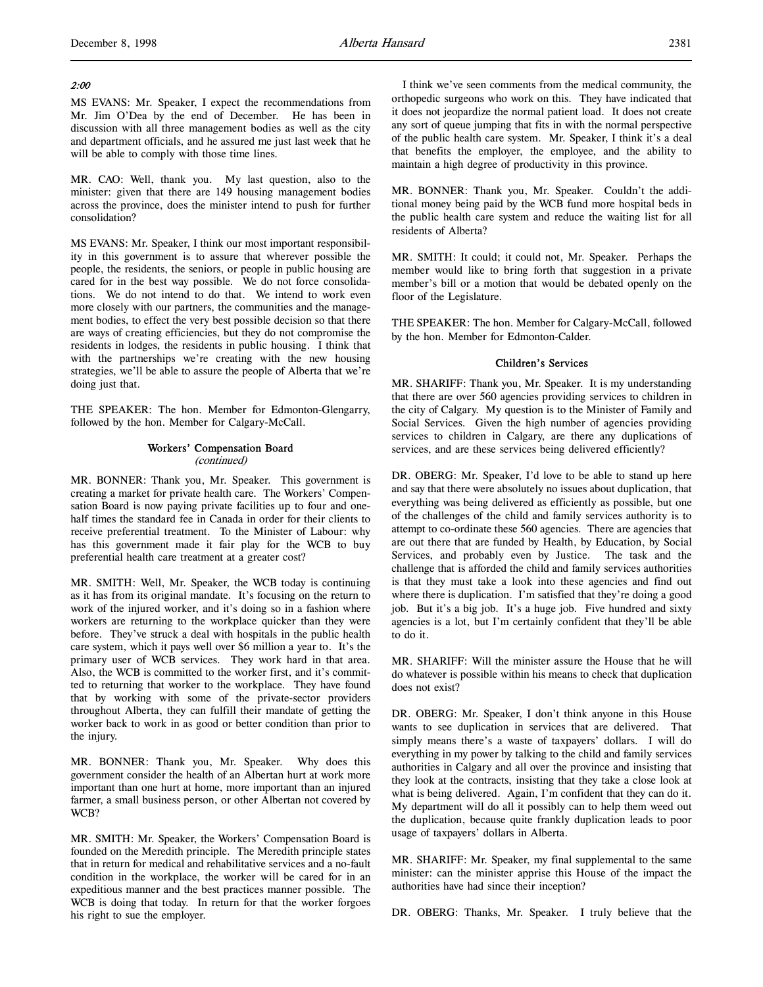## 2:00

MS EVANS: Mr. Speaker, I expect the recommendations from Mr. Jim O'Dea by the end of December. He has been in discussion with all three management bodies as well as the city and department officials, and he assured me just last week that he will be able to comply with those time lines.

MR. CAO: Well, thank you. My last question, also to the minister: given that there are 149 housing management bodies across the province, does the minister intend to push for further consolidation?

MS EVANS: Mr. Speaker, I think our most important responsibility in this government is to assure that wherever possible the people, the residents, the seniors, or people in public housing are cared for in the best way possible. We do not force consolidations. We do not intend to do that. We intend to work even more closely with our partners, the communities and the management bodies, to effect the very best possible decision so that there are ways of creating efficiencies, but they do not compromise the residents in lodges, the residents in public housing. I think that with the partnerships we're creating with the new housing strategies, we'll be able to assure the people of Alberta that we're doing just that.

THE SPEAKER: The hon. Member for Edmonton-Glengarry, followed by the hon. Member for Calgary-McCall.

## Workers' Compensation Board (continued)

MR. BONNER: Thank you, Mr. Speaker. This government is creating a market for private health care. The Workers' Compensation Board is now paying private facilities up to four and onehalf times the standard fee in Canada in order for their clients to receive preferential treatment. To the Minister of Labour: why has this government made it fair play for the WCB to buy preferential health care treatment at a greater cost?

MR. SMITH: Well, Mr. Speaker, the WCB today is continuing as it has from its original mandate. It's focusing on the return to work of the injured worker, and it's doing so in a fashion where workers are returning to the workplace quicker than they were before. They've struck a deal with hospitals in the public health care system, which it pays well over \$6 million a year to. It's the primary user of WCB services. They work hard in that area. Also, the WCB is committed to the worker first, and it's committed to returning that worker to the workplace. They have found that by working with some of the private-sector providers throughout Alberta, they can fulfill their mandate of getting the worker back to work in as good or better condition than prior to the injury.

MR. BONNER: Thank you, Mr. Speaker. Why does this government consider the health of an Albertan hurt at work more important than one hurt at home, more important than an injured farmer, a small business person, or other Albertan not covered by WCB?

MR. SMITH: Mr. Speaker, the Workers' Compensation Board is founded on the Meredith principle. The Meredith principle states that in return for medical and rehabilitative services and a no-fault condition in the workplace, the worker will be cared for in an expeditious manner and the best practices manner possible. The WCB is doing that today. In return for that the worker forgoes his right to sue the employer.

I think we've seen comments from the medical community, the orthopedic surgeons who work on this. They have indicated that it does not jeopardize the normal patient load. It does not create any sort of queue jumping that fits in with the normal perspective of the public health care system. Mr. Speaker, I think it's a deal that benefits the employer, the employee, and the ability to maintain a high degree of productivity in this province.

MR. BONNER: Thank you, Mr. Speaker. Couldn't the additional money being paid by the WCB fund more hospital beds in the public health care system and reduce the waiting list for all residents of Alberta?

MR. SMITH: It could; it could not, Mr. Speaker. Perhaps the member would like to bring forth that suggestion in a private member's bill or a motion that would be debated openly on the floor of the Legislature.

THE SPEAKER: The hon. Member for Calgary-McCall, followed by the hon. Member for Edmonton-Calder.

## Children's Services

MR. SHARIFF: Thank you, Mr. Speaker. It is my understanding that there are over 560 agencies providing services to children in the city of Calgary. My question is to the Minister of Family and Social Services. Given the high number of agencies providing services to children in Calgary, are there any duplications of services, and are these services being delivered efficiently?

DR. OBERG: Mr. Speaker, I'd love to be able to stand up here and say that there were absolutely no issues about duplication, that everything was being delivered as efficiently as possible, but one of the challenges of the child and family services authority is to attempt to co-ordinate these 560 agencies. There are agencies that are out there that are funded by Health, by Education, by Social Services, and probably even by Justice. The task and the challenge that is afforded the child and family services authorities is that they must take a look into these agencies and find out where there is duplication. I'm satisfied that they're doing a good job. But it's a big job. It's a huge job. Five hundred and sixty agencies is a lot, but I'm certainly confident that they'll be able to do it.

MR. SHARIFF: Will the minister assure the House that he will do whatever is possible within his means to check that duplication does not exist?

DR. OBERG: Mr. Speaker, I don't think anyone in this House wants to see duplication in services that are delivered. That simply means there's a waste of taxpayers' dollars. I will do everything in my power by talking to the child and family services authorities in Calgary and all over the province and insisting that they look at the contracts, insisting that they take a close look at what is being delivered. Again, I'm confident that they can do it. My department will do all it possibly can to help them weed out the duplication, because quite frankly duplication leads to poor usage of taxpayers' dollars in Alberta.

MR. SHARIFF: Mr. Speaker, my final supplemental to the same minister: can the minister apprise this House of the impact the authorities have had since their inception?

DR. OBERG: Thanks, Mr. Speaker. I truly believe that the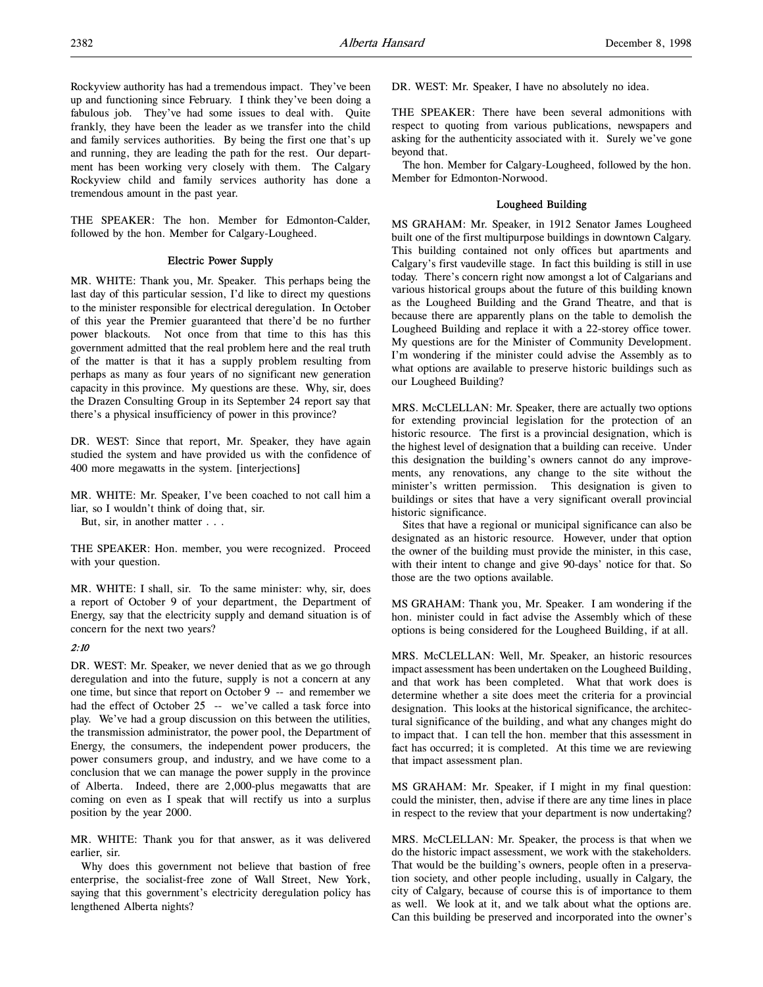Rockyview authority has had a tremendous impact. They've been up and functioning since February. I think they've been doing a fabulous job. They've had some issues to deal with. Quite frankly, they have been the leader as we transfer into the child and family services authorities. By being the first one that's up and running, they are leading the path for the rest. Our department has been working very closely with them. The Calgary Rockyview child and family services authority has done a tremendous amount in the past year.

THE SPEAKER: The hon. Member for Edmonton-Calder, followed by the hon. Member for Calgary-Lougheed.

## Electric Power Supply

MR. WHITE: Thank you, Mr. Speaker. This perhaps being the last day of this particular session, I'd like to direct my questions to the minister responsible for electrical deregulation. In October of this year the Premier guaranteed that there'd be no further power blackouts. Not once from that time to this has this government admitted that the real problem here and the real truth of the matter is that it has a supply problem resulting from perhaps as many as four years of no significant new generation capacity in this province. My questions are these. Why, sir, does the Drazen Consulting Group in its September 24 report say that there's a physical insufficiency of power in this province?

DR. WEST: Since that report, Mr. Speaker, they have again studied the system and have provided us with the confidence of 400 more megawatts in the system. [interjections]

MR. WHITE: Mr. Speaker, I've been coached to not call him a liar, so I wouldn't think of doing that, sir.

But, sir, in another matter . . .

THE SPEAKER: Hon. member, you were recognized. Proceed with your question.

MR. WHITE: I shall, sir. To the same minister: why, sir, does a report of October 9 of your department, the Department of Energy, say that the electricity supply and demand situation is of concern for the next two years?

#### 2:10

DR. WEST: Mr. Speaker, we never denied that as we go through deregulation and into the future, supply is not a concern at any one time, but since that report on October 9 -- and remember we had the effect of October 25 -- we've called a task force into play. We've had a group discussion on this between the utilities, the transmission administrator, the power pool, the Department of Energy, the consumers, the independent power producers, the power consumers group, and industry, and we have come to a conclusion that we can manage the power supply in the province of Alberta. Indeed, there are 2,000-plus megawatts that are coming on even as I speak that will rectify us into a surplus position by the year 2000.

MR. WHITE: Thank you for that answer, as it was delivered earlier, sir.

Why does this government not believe that bastion of free enterprise, the socialist-free zone of Wall Street, New York, saying that this government's electricity deregulation policy has lengthened Alberta nights?

DR. WEST: Mr. Speaker, I have no absolutely no idea.

THE SPEAKER: There have been several admonitions with respect to quoting from various publications, newspapers and asking for the authenticity associated with it. Surely we've gone beyond that.

The hon. Member for Calgary-Lougheed, followed by the hon. Member for Edmonton-Norwood.

## Lougheed Building

MS GRAHAM: Mr. Speaker, in 1912 Senator James Lougheed built one of the first multipurpose buildings in downtown Calgary. This building contained not only offices but apartments and Calgary's first vaudeville stage. In fact this building is still in use today. There's concern right now amongst a lot of Calgarians and various historical groups about the future of this building known as the Lougheed Building and the Grand Theatre, and that is because there are apparently plans on the table to demolish the Lougheed Building and replace it with a 22-storey office tower. My questions are for the Minister of Community Development. I'm wondering if the minister could advise the Assembly as to what options are available to preserve historic buildings such as our Lougheed Building?

MRS. McCLELLAN: Mr. Speaker, there are actually two options for extending provincial legislation for the protection of an historic resource. The first is a provincial designation, which is the highest level of designation that a building can receive. Under this designation the building's owners cannot do any improvements, any renovations, any change to the site without the minister's written permission. This designation is given to buildings or sites that have a very significant overall provincial historic significance.

Sites that have a regional or municipal significance can also be designated as an historic resource. However, under that option the owner of the building must provide the minister, in this case, with their intent to change and give 90-days' notice for that. So those are the two options available.

MS GRAHAM: Thank you, Mr. Speaker. I am wondering if the hon. minister could in fact advise the Assembly which of these options is being considered for the Lougheed Building, if at all.

MRS. McCLELLAN: Well, Mr. Speaker, an historic resources impact assessment has been undertaken on the Lougheed Building, and that work has been completed. What that work does is determine whether a site does meet the criteria for a provincial designation. This looks at the historical significance, the architectural significance of the building, and what any changes might do to impact that. I can tell the hon. member that this assessment in fact has occurred; it is completed. At this time we are reviewing that impact assessment plan.

MS GRAHAM: Mr. Speaker, if I might in my final question: could the minister, then, advise if there are any time lines in place in respect to the review that your department is now undertaking?

MRS. McCLELLAN: Mr. Speaker, the process is that when we do the historic impact assessment, we work with the stakeholders. That would be the building's owners, people often in a preservation society, and other people including, usually in Calgary, the city of Calgary, because of course this is of importance to them as well. We look at it, and we talk about what the options are. Can this building be preserved and incorporated into the owner's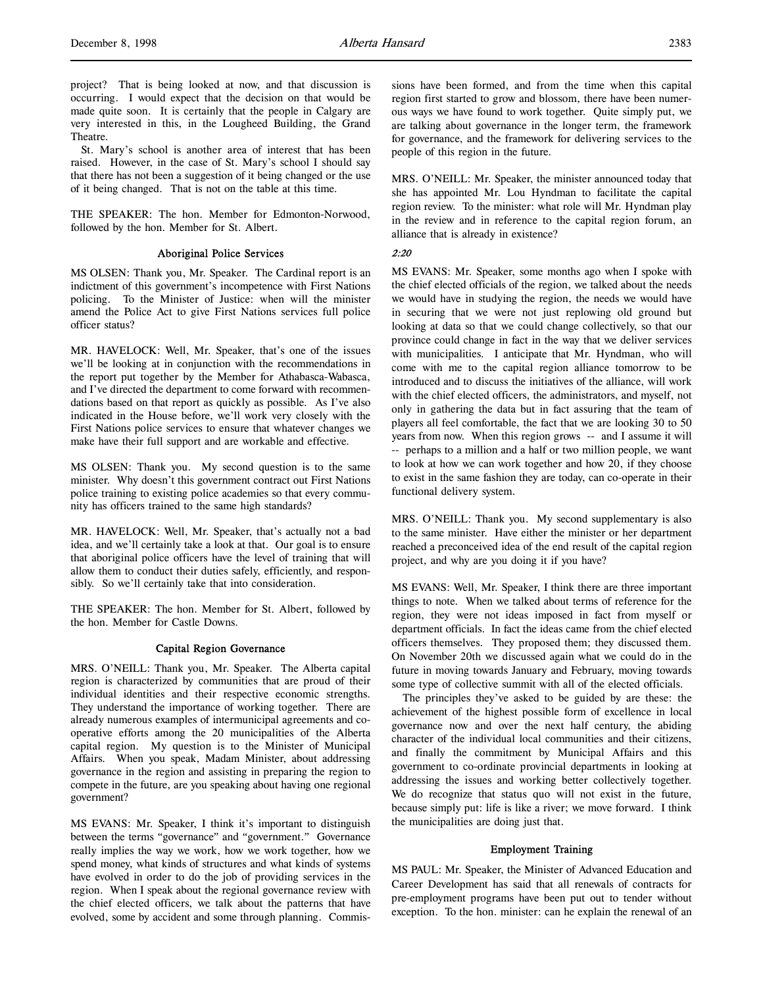project? That is being looked at now, and that discussion is occurring. I would expect that the decision on that would be made quite soon. It is certainly that the people in Calgary are very interested in this, in the Lougheed Building, the Grand Theatre.

St. Mary's school is another area of interest that has been raised. However, in the case of St. Mary's school I should say that there has not been a suggestion of it being changed or the use of it being changed. That is not on the table at this time.

THE SPEAKER: The hon. Member for Edmonton-Norwood, followed by the hon. Member for St. Albert.

## Aboriginal Police Services

MS OLSEN: Thank you, Mr. Speaker. The Cardinal report is an indictment of this government's incompetence with First Nations policing. To the Minister of Justice: when will the minister amend the Police Act to give First Nations services full police officer status?

MR. HAVELOCK: Well, Mr. Speaker, that's one of the issues we'll be looking at in conjunction with the recommendations in the report put together by the Member for Athabasca-Wabasca, and I've directed the department to come forward with recommendations based on that report as quickly as possible. As I've also indicated in the House before, we'll work very closely with the First Nations police services to ensure that whatever changes we make have their full support and are workable and effective.

MS OLSEN: Thank you. My second question is to the same minister. Why doesn't this government contract out First Nations police training to existing police academies so that every community has officers trained to the same high standards?

MR. HAVELOCK: Well, Mr. Speaker, that's actually not a bad idea, and we'll certainly take a look at that. Our goal is to ensure that aboriginal police officers have the level of training that will allow them to conduct their duties safely, efficiently, and responsibly. So we'll certainly take that into consideration.

THE SPEAKER: The hon. Member for St. Albert, followed by the hon. Member for Castle Downs.

#### Capital Region Governance

MRS. O'NEILL: Thank you, Mr. Speaker. The Alberta capital region is characterized by communities that are proud of their individual identities and their respective economic strengths. They understand the importance of working together. There are already numerous examples of intermunicipal agreements and cooperative efforts among the 20 municipalities of the Alberta capital region. My question is to the Minister of Municipal Affairs. When you speak, Madam Minister, about addressing governance in the region and assisting in preparing the region to compete in the future, are you speaking about having one regional government?

MS EVANS: Mr. Speaker, I think it's important to distinguish between the terms "governance" and "government." Governance really implies the way we work, how we work together, how we spend money, what kinds of structures and what kinds of systems have evolved in order to do the job of providing services in the region. When I speak about the regional governance review with the chief elected officers, we talk about the patterns that have evolved, some by accident and some through planning. Commissions have been formed, and from the time when this capital region first started to grow and blossom, there have been numerous ways we have found to work together. Quite simply put, we are talking about governance in the longer term, the framework for governance, and the framework for delivering services to the people of this region in the future.

MRS. O'NEILL: Mr. Speaker, the minister announced today that she has appointed Mr. Lou Hyndman to facilitate the capital region review. To the minister: what role will Mr. Hyndman play in the review and in reference to the capital region forum, an alliance that is already in existence?

## 2:20

MS EVANS: Mr. Speaker, some months ago when I spoke with the chief elected officials of the region, we talked about the needs we would have in studying the region, the needs we would have in securing that we were not just replowing old ground but looking at data so that we could change collectively, so that our province could change in fact in the way that we deliver services with municipalities. I anticipate that Mr. Hyndman, who will come with me to the capital region alliance tomorrow to be introduced and to discuss the initiatives of the alliance, will work with the chief elected officers, the administrators, and myself, not only in gathering the data but in fact assuring that the team of players all feel comfortable, the fact that we are looking 30 to 50 years from now. When this region grows -- and I assume it will -- perhaps to a million and a half or two million people, we want to look at how we can work together and how 20, if they choose to exist in the same fashion they are today, can co-operate in their functional delivery system.

MRS. O'NEILL: Thank you. My second supplementary is also to the same minister. Have either the minister or her department reached a preconceived idea of the end result of the capital region project, and why are you doing it if you have?

MS EVANS: Well, Mr. Speaker, I think there are three important things to note. When we talked about terms of reference for the region, they were not ideas imposed in fact from myself or department officials. In fact the ideas came from the chief elected officers themselves. They proposed them; they discussed them. On November 20th we discussed again what we could do in the future in moving towards January and February, moving towards some type of collective summit with all of the elected officials.

The principles they've asked to be guided by are these: the achievement of the highest possible form of excellence in local governance now and over the next half century, the abiding character of the individual local communities and their citizens, and finally the commitment by Municipal Affairs and this government to co-ordinate provincial departments in looking at addressing the issues and working better collectively together. We do recognize that status quo will not exist in the future, because simply put: life is like a river; we move forward. I think the municipalities are doing just that.

## Employment Training

MS PAUL: Mr. Speaker, the Minister of Advanced Education and Career Development has said that all renewals of contracts for pre-employment programs have been put out to tender without exception. To the hon. minister: can he explain the renewal of an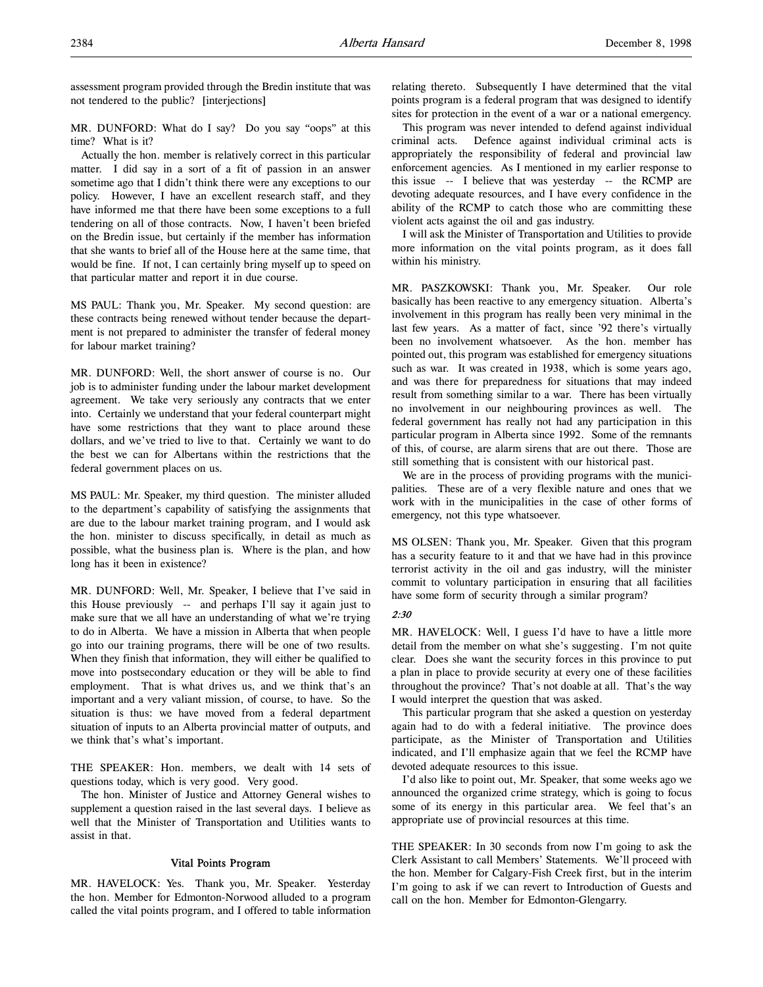assessment program provided through the Bredin institute that was not tendered to the public? [interjections]

MR. DUNFORD: What do I say? Do you say "oops" at this time? What is it?

Actually the hon. member is relatively correct in this particular matter. I did say in a sort of a fit of passion in an answer sometime ago that I didn't think there were any exceptions to our policy. However, I have an excellent research staff, and they have informed me that there have been some exceptions to a full tendering on all of those contracts. Now, I haven't been briefed on the Bredin issue, but certainly if the member has information that she wants to brief all of the House here at the same time, that would be fine. If not, I can certainly bring myself up to speed on that particular matter and report it in due course.

MS PAUL: Thank you, Mr. Speaker. My second question: are these contracts being renewed without tender because the department is not prepared to administer the transfer of federal money for labour market training?

MR. DUNFORD: Well, the short answer of course is no. Our job is to administer funding under the labour market development agreement. We take very seriously any contracts that we enter into. Certainly we understand that your federal counterpart might have some restrictions that they want to place around these dollars, and we've tried to live to that. Certainly we want to do the best we can for Albertans within the restrictions that the federal government places on us.

MS PAUL: Mr. Speaker, my third question. The minister alluded to the department's capability of satisfying the assignments that are due to the labour market training program, and I would ask the hon. minister to discuss specifically, in detail as much as possible, what the business plan is. Where is the plan, and how long has it been in existence?

MR. DUNFORD: Well, Mr. Speaker, I believe that I've said in this House previously -- and perhaps I'll say it again just to make sure that we all have an understanding of what we're trying to do in Alberta. We have a mission in Alberta that when people go into our training programs, there will be one of two results. When they finish that information, they will either be qualified to move into postsecondary education or they will be able to find employment. That is what drives us, and we think that's an important and a very valiant mission, of course, to have. So the situation is thus: we have moved from a federal department situation of inputs to an Alberta provincial matter of outputs, and we think that's what's important.

THE SPEAKER: Hon. members, we dealt with 14 sets of questions today, which is very good. Very good.

The hon. Minister of Justice and Attorney General wishes to supplement a question raised in the last several days. I believe as well that the Minister of Transportation and Utilities wants to assist in that.

## Vital Points Program

MR. HAVELOCK: Yes. Thank you, Mr. Speaker. Yesterday the hon. Member for Edmonton-Norwood alluded to a program called the vital points program, and I offered to table information

relating thereto. Subsequently I have determined that the vital points program is a federal program that was designed to identify sites for protection in the event of a war or a national emergency.

This program was never intended to defend against individual criminal acts. Defence against individual criminal acts is appropriately the responsibility of federal and provincial law enforcement agencies. As I mentioned in my earlier response to this issue -- I believe that was yesterday -- the RCMP are devoting adequate resources, and I have every confidence in the ability of the RCMP to catch those who are committing these violent acts against the oil and gas industry.

I will ask the Minister of Transportation and Utilities to provide more information on the vital points program, as it does fall within his ministry.

MR. PASZKOWSKI: Thank you, Mr. Speaker. Our role basically has been reactive to any emergency situation. Alberta's involvement in this program has really been very minimal in the last few years. As a matter of fact, since '92 there's virtually been no involvement whatsoever. As the hon. member has pointed out, this program was established for emergency situations such as war. It was created in 1938, which is some years ago, and was there for preparedness for situations that may indeed result from something similar to a war. There has been virtually no involvement in our neighbouring provinces as well. The federal government has really not had any participation in this particular program in Alberta since 1992. Some of the remnants of this, of course, are alarm sirens that are out there. Those are still something that is consistent with our historical past.

We are in the process of providing programs with the municipalities. These are of a very flexible nature and ones that we work with in the municipalities in the case of other forms of emergency, not this type whatsoever.

MS OLSEN: Thank you, Mr. Speaker. Given that this program has a security feature to it and that we have had in this province terrorist activity in the oil and gas industry, will the minister commit to voluntary participation in ensuring that all facilities have some form of security through a similar program?

### 2:30

MR. HAVELOCK: Well, I guess I'd have to have a little more detail from the member on what she's suggesting. I'm not quite clear. Does she want the security forces in this province to put a plan in place to provide security at every one of these facilities throughout the province? That's not doable at all. That's the way I would interpret the question that was asked.

This particular program that she asked a question on yesterday again had to do with a federal initiative. The province does participate, as the Minister of Transportation and Utilities indicated, and I'll emphasize again that we feel the RCMP have devoted adequate resources to this issue.

I'd also like to point out, Mr. Speaker, that some weeks ago we announced the organized crime strategy, which is going to focus some of its energy in this particular area. We feel that's an appropriate use of provincial resources at this time.

THE SPEAKER: In 30 seconds from now I'm going to ask the Clerk Assistant to call Members' Statements. We'll proceed with the hon. Member for Calgary-Fish Creek first, but in the interim I'm going to ask if we can revert to Introduction of Guests and call on the hon. Member for Edmonton-Glengarry.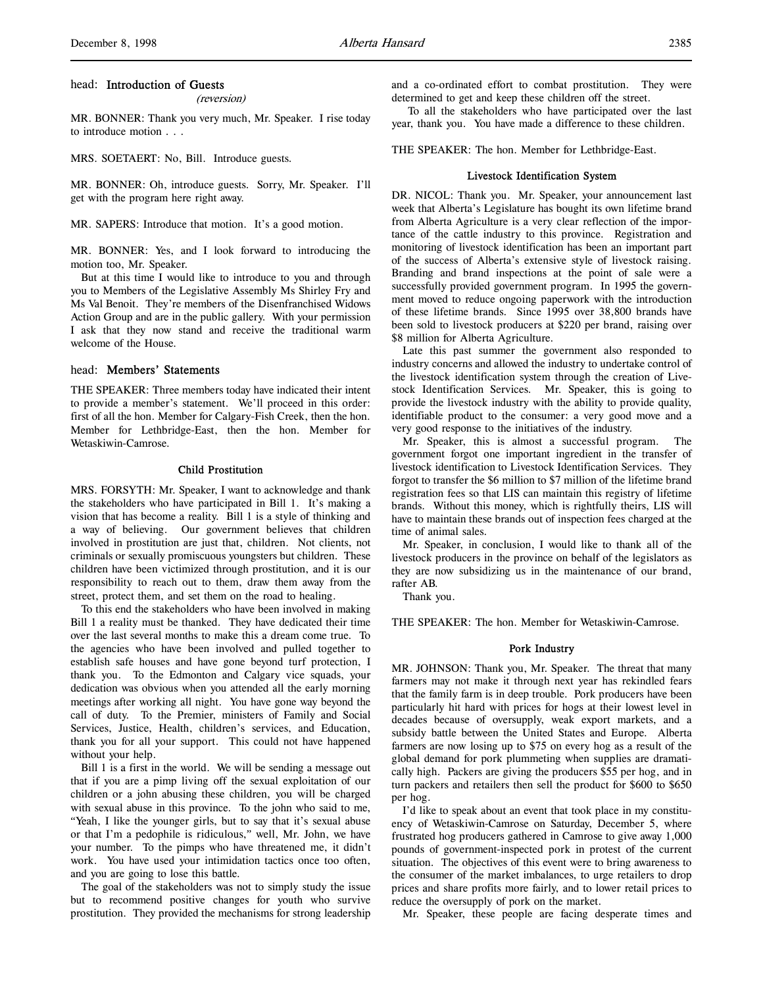#### head: Introduction of Guests

(reversion)

MR. BONNER: Thank you very much, Mr. Speaker. I rise today to introduce motion . . .

MRS. SOETAERT: No, Bill. Introduce guests.

MR. BONNER: Oh, introduce guests. Sorry, Mr. Speaker. I'll get with the program here right away.

MR. SAPERS: Introduce that motion. It's a good motion.

MR. BONNER: Yes, and I look forward to introducing the motion too, Mr. Speaker.

But at this time I would like to introduce to you and through you to Members of the Legislative Assembly Ms Shirley Fry and Ms Val Benoit. They're members of the Disenfranchised Widows Action Group and are in the public gallery. With your permission I ask that they now stand and receive the traditional warm welcome of the House.

### head: Members' Statements

THE SPEAKER: Three members today have indicated their intent to provide a member's statement. We'll proceed in this order: first of all the hon. Member for Calgary-Fish Creek, then the hon. Member for Lethbridge-East, then the hon. Member for Wetaskiwin-Camrose.

#### Child Prostitution

MRS. FORSYTH: Mr. Speaker, I want to acknowledge and thank the stakeholders who have participated in Bill 1. It's making a vision that has become a reality. Bill 1 is a style of thinking and a way of believing. Our government believes that children involved in prostitution are just that, children. Not clients, not criminals or sexually promiscuous youngsters but children. These children have been victimized through prostitution, and it is our responsibility to reach out to them, draw them away from the street, protect them, and set them on the road to healing.

To this end the stakeholders who have been involved in making Bill 1 a reality must be thanked. They have dedicated their time over the last several months to make this a dream come true. To the agencies who have been involved and pulled together to establish safe houses and have gone beyond turf protection, I thank you. To the Edmonton and Calgary vice squads, your dedication was obvious when you attended all the early morning meetings after working all night. You have gone way beyond the call of duty. To the Premier, ministers of Family and Social Services, Justice, Health, children's services, and Education, thank you for all your support. This could not have happened without your help.

Bill 1 is a first in the world. We will be sending a message out that if you are a pimp living off the sexual exploitation of our children or a john abusing these children, you will be charged with sexual abuse in this province. To the john who said to me, "Yeah, I like the younger girls, but to say that it's sexual abuse or that I'm a pedophile is ridiculous," well, Mr. John, we have your number. To the pimps who have threatened me, it didn't work. You have used your intimidation tactics once too often, and you are going to lose this battle.

The goal of the stakeholders was not to simply study the issue but to recommend positive changes for youth who survive prostitution. They provided the mechanisms for strong leadership and a co-ordinated effort to combat prostitution. They were determined to get and keep these children off the street.

 To all the stakeholders who have participated over the last year, thank you. You have made a difference to these children.

THE SPEAKER: The hon. Member for Lethbridge-East.

#### Livestock Identification System

DR. NICOL: Thank you. Mr. Speaker, your announcement last week that Alberta's Legislature has bought its own lifetime brand from Alberta Agriculture is a very clear reflection of the importance of the cattle industry to this province. Registration and monitoring of livestock identification has been an important part of the success of Alberta's extensive style of livestock raising. Branding and brand inspections at the point of sale were a successfully provided government program. In 1995 the government moved to reduce ongoing paperwork with the introduction of these lifetime brands. Since 1995 over 38,800 brands have been sold to livestock producers at \$220 per brand, raising over \$8 million for Alberta Agriculture.

Late this past summer the government also responded to industry concerns and allowed the industry to undertake control of the livestock identification system through the creation of Livestock Identification Services. Mr. Speaker, this is going to provide the livestock industry with the ability to provide quality, identifiable product to the consumer: a very good move and a very good response to the initiatives of the industry.

Mr. Speaker, this is almost a successful program. The government forgot one important ingredient in the transfer of livestock identification to Livestock Identification Services. They forgot to transfer the \$6 million to \$7 million of the lifetime brand registration fees so that LIS can maintain this registry of lifetime brands. Without this money, which is rightfully theirs, LIS will have to maintain these brands out of inspection fees charged at the time of animal sales.

Mr. Speaker, in conclusion, I would like to thank all of the livestock producers in the province on behalf of the legislators as they are now subsidizing us in the maintenance of our brand, rafter AB.

Thank you.

THE SPEAKER: The hon. Member for Wetaskiwin-Camrose.

#### Pork Industry

MR. JOHNSON: Thank you, Mr. Speaker. The threat that many farmers may not make it through next year has rekindled fears that the family farm is in deep trouble. Pork producers have been particularly hit hard with prices for hogs at their lowest level in decades because of oversupply, weak export markets, and a subsidy battle between the United States and Europe. Alberta farmers are now losing up to \$75 on every hog as a result of the global demand for pork plummeting when supplies are dramatically high. Packers are giving the producers \$55 per hog, and in turn packers and retailers then sell the product for \$600 to \$650 per hog.

I'd like to speak about an event that took place in my constituency of Wetaskiwin-Camrose on Saturday, December 5, where frustrated hog producers gathered in Camrose to give away 1,000 pounds of government-inspected pork in protest of the current situation. The objectives of this event were to bring awareness to the consumer of the market imbalances, to urge retailers to drop prices and share profits more fairly, and to lower retail prices to reduce the oversupply of pork on the market.

Mr. Speaker, these people are facing desperate times and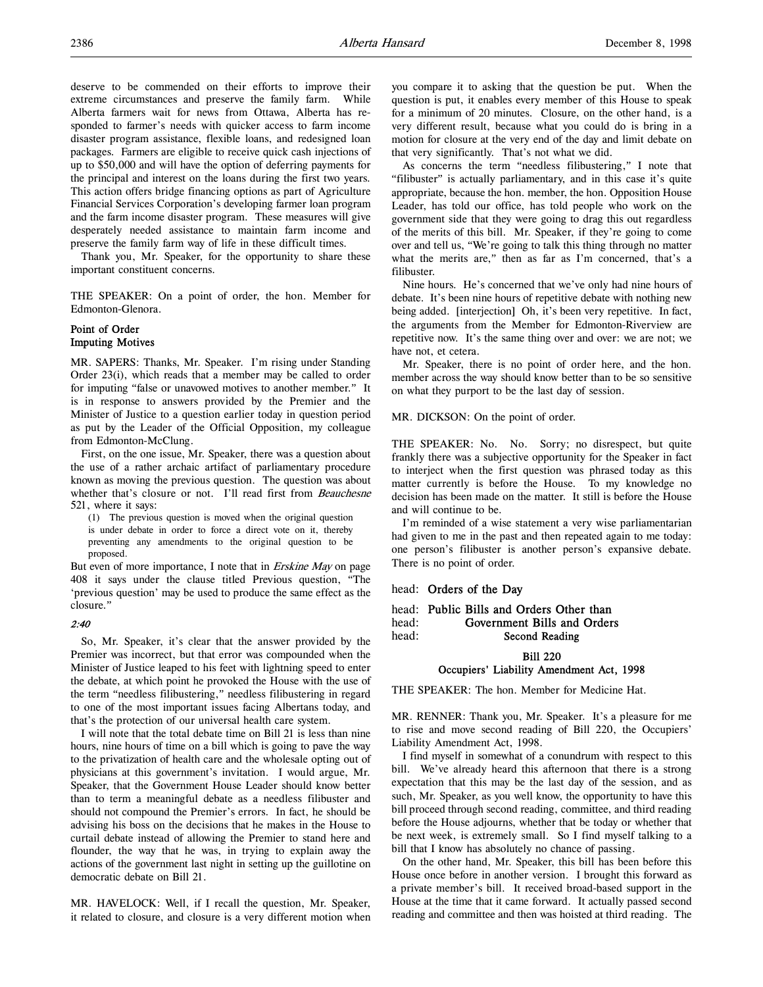deserve to be commended on their efforts to improve their extreme circumstances and preserve the family farm. While Alberta farmers wait for news from Ottawa, Alberta has responded to farmer's needs with quicker access to farm income disaster program assistance, flexible loans, and redesigned loan packages. Farmers are eligible to receive quick cash injections of up to \$50,000 and will have the option of deferring payments for the principal and interest on the loans during the first two years. This action offers bridge financing options as part of Agriculture Financial Services Corporation's developing farmer loan program and the farm income disaster program. These measures will give desperately needed assistance to maintain farm income and preserve the family farm way of life in these difficult times.

Thank you, Mr. Speaker, for the opportunity to share these important constituent concerns.

THE SPEAKER: On a point of order, the hon. Member for Edmonton-Glenora.

## Point of Order Imputing Motives

MR. SAPERS: Thanks, Mr. Speaker. I'm rising under Standing Order 23(i), which reads that a member may be called to order for imputing "false or unavowed motives to another member." It is in response to answers provided by the Premier and the Minister of Justice to a question earlier today in question period as put by the Leader of the Official Opposition, my colleague from Edmonton-McClung.

First, on the one issue, Mr. Speaker, there was a question about the use of a rather archaic artifact of parliamentary procedure known as moving the previous question. The question was about whether that's closure or not. I'll read first from Beauchesne 521, where it says:

(1) The previous question is moved when the original question is under debate in order to force a direct vote on it, thereby preventing any amendments to the original question to be proposed.

But even of more importance, I note that in *Erskine May* on page 408 it says under the clause titled Previous question, "The 'previous question' may be used to produce the same effect as the closure."

#### 2:40

So, Mr. Speaker, it's clear that the answer provided by the Premier was incorrect, but that error was compounded when the Minister of Justice leaped to his feet with lightning speed to enter the debate, at which point he provoked the House with the use of the term "needless filibustering," needless filibustering in regard to one of the most important issues facing Albertans today, and that's the protection of our universal health care system.

I will note that the total debate time on Bill 21 is less than nine hours, nine hours of time on a bill which is going to pave the way to the privatization of health care and the wholesale opting out of physicians at this government's invitation. I would argue, Mr. Speaker, that the Government House Leader should know better than to term a meaningful debate as a needless filibuster and should not compound the Premier's errors. In fact, he should be advising his boss on the decisions that he makes in the House to curtail debate instead of allowing the Premier to stand here and flounder, the way that he was, in trying to explain away the actions of the government last night in setting up the guillotine on democratic debate on Bill 21.

MR. HAVELOCK: Well, if I recall the question, Mr. Speaker, it related to closure, and closure is a very different motion when you compare it to asking that the question be put. When the question is put, it enables every member of this House to speak for a minimum of 20 minutes. Closure, on the other hand, is a very different result, because what you could do is bring in a motion for closure at the very end of the day and limit debate on that very significantly. That's not what we did.

As concerns the term "needless filibustering," I note that "filibuster" is actually parliamentary, and in this case it's quite appropriate, because the hon. member, the hon. Opposition House Leader, has told our office, has told people who work on the government side that they were going to drag this out regardless of the merits of this bill. Mr. Speaker, if they're going to come over and tell us, "We're going to talk this thing through no matter what the merits are," then as far as I'm concerned, that's a filibuster.

Nine hours. He's concerned that we've only had nine hours of debate. It's been nine hours of repetitive debate with nothing new being added. [interjection] Oh, it's been very repetitive. In fact, the arguments from the Member for Edmonton-Riverview are repetitive now. It's the same thing over and over: we are not; we have not, et cetera.

Mr. Speaker, there is no point of order here, and the hon. member across the way should know better than to be so sensitive on what they purport to be the last day of session.

MR. DICKSON: On the point of order.

THE SPEAKER: No. No. Sorry; no disrespect, but quite frankly there was a subjective opportunity for the Speaker in fact to interject when the first question was phrased today as this matter currently is before the House. To my knowledge no decision has been made on the matter. It still is before the House and will continue to be.

I'm reminded of a wise statement a very wise parliamentarian had given to me in the past and then repeated again to me today: one person's filibuster is another person's expansive debate. There is no point of order.

## head: Orders of the Day

```
head: Public Bills and Orders Other than<br>head: Government Bills and Order
                Government Bills and Orders
head: Second Reading
```
Bill 220

### Occupiers' Liability Amendment Act, 1998

THE SPEAKER: The hon. Member for Medicine Hat.

MR. RENNER: Thank you, Mr. Speaker. It's a pleasure for me to rise and move second reading of Bill 220, the Occupiers' Liability Amendment Act, 1998.

I find myself in somewhat of a conundrum with respect to this bill. We've already heard this afternoon that there is a strong expectation that this may be the last day of the session, and as such, Mr. Speaker, as you well know, the opportunity to have this bill proceed through second reading, committee, and third reading before the House adjourns, whether that be today or whether that be next week, is extremely small. So I find myself talking to a bill that I know has absolutely no chance of passing.

On the other hand, Mr. Speaker, this bill has been before this House once before in another version. I brought this forward as a private member's bill. It received broad-based support in the House at the time that it came forward. It actually passed second reading and committee and then was hoisted at third reading. The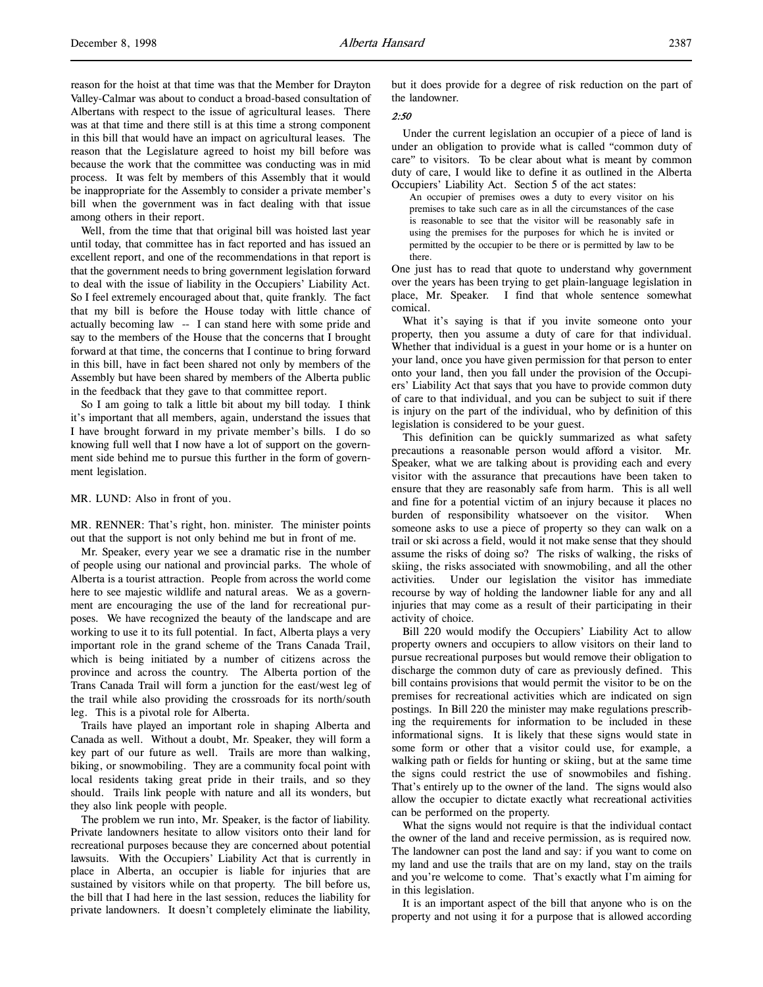reason for the hoist at that time was that the Member for Drayton Valley-Calmar was about to conduct a broad-based consultation of Albertans with respect to the issue of agricultural leases. There was at that time and there still is at this time a strong component in this bill that would have an impact on agricultural leases. The reason that the Legislature agreed to hoist my bill before was because the work that the committee was conducting was in mid process. It was felt by members of this Assembly that it would be inappropriate for the Assembly to consider a private member's bill when the government was in fact dealing with that issue among others in their report.

Well, from the time that that original bill was hoisted last year until today, that committee has in fact reported and has issued an excellent report, and one of the recommendations in that report is that the government needs to bring government legislation forward to deal with the issue of liability in the Occupiers' Liability Act. So I feel extremely encouraged about that, quite frankly. The fact that my bill is before the House today with little chance of actually becoming law -- I can stand here with some pride and say to the members of the House that the concerns that I brought forward at that time, the concerns that I continue to bring forward in this bill, have in fact been shared not only by members of the Assembly but have been shared by members of the Alberta public in the feedback that they gave to that committee report.

So I am going to talk a little bit about my bill today. I think it's important that all members, again, understand the issues that I have brought forward in my private member's bills. I do so knowing full well that I now have a lot of support on the government side behind me to pursue this further in the form of government legislation.

#### MR. LUND: Also in front of you.

MR. RENNER: That's right, hon. minister. The minister points out that the support is not only behind me but in front of me.

Mr. Speaker, every year we see a dramatic rise in the number of people using our national and provincial parks. The whole of Alberta is a tourist attraction. People from across the world come here to see majestic wildlife and natural areas. We as a government are encouraging the use of the land for recreational purposes. We have recognized the beauty of the landscape and are working to use it to its full potential. In fact, Alberta plays a very important role in the grand scheme of the Trans Canada Trail, which is being initiated by a number of citizens across the province and across the country. The Alberta portion of the Trans Canada Trail will form a junction for the east/west leg of the trail while also providing the crossroads for its north/south leg. This is a pivotal role for Alberta.

Trails have played an important role in shaping Alberta and Canada as well. Without a doubt, Mr. Speaker, they will form a key part of our future as well. Trails are more than walking, biking, or snowmobiling. They are a community focal point with local residents taking great pride in their trails, and so they should. Trails link people with nature and all its wonders, but they also link people with people.

The problem we run into, Mr. Speaker, is the factor of liability. Private landowners hesitate to allow visitors onto their land for recreational purposes because they are concerned about potential lawsuits. With the Occupiers' Liability Act that is currently in place in Alberta, an occupier is liable for injuries that are sustained by visitors while on that property. The bill before us, the bill that I had here in the last session, reduces the liability for private landowners. It doesn't completely eliminate the liability,

but it does provide for a degree of risk reduction on the part of the landowner.

## $2.50$

Under the current legislation an occupier of a piece of land is under an obligation to provide what is called "common duty of care" to visitors. To be clear about what is meant by common duty of care, I would like to define it as outlined in the Alberta Occupiers' Liability Act. Section 5 of the act states:

An occupier of premises owes a duty to every visitor on his premises to take such care as in all the circumstances of the case is reasonable to see that the visitor will be reasonably safe in using the premises for the purposes for which he is invited or permitted by the occupier to be there or is permitted by law to be there.

One just has to read that quote to understand why government over the years has been trying to get plain-language legislation in place, Mr. Speaker. I find that whole sentence somewhat comical.

What it's saying is that if you invite someone onto your property, then you assume a duty of care for that individual. Whether that individual is a guest in your home or is a hunter on your land, once you have given permission for that person to enter onto your land, then you fall under the provision of the Occupiers' Liability Act that says that you have to provide common duty of care to that individual, and you can be subject to suit if there is injury on the part of the individual, who by definition of this legislation is considered to be your guest.

This definition can be quickly summarized as what safety precautions a reasonable person would afford a visitor. Mr. Speaker, what we are talking about is providing each and every visitor with the assurance that precautions have been taken to ensure that they are reasonably safe from harm. This is all well and fine for a potential victim of an injury because it places no burden of responsibility whatsoever on the visitor. When someone asks to use a piece of property so they can walk on a trail or ski across a field, would it not make sense that they should assume the risks of doing so? The risks of walking, the risks of skiing, the risks associated with snowmobiling, and all the other activities. Under our legislation the visitor has immediate recourse by way of holding the landowner liable for any and all injuries that may come as a result of their participating in their activity of choice.

Bill 220 would modify the Occupiers' Liability Act to allow property owners and occupiers to allow visitors on their land to pursue recreational purposes but would remove their obligation to discharge the common duty of care as previously defined. This bill contains provisions that would permit the visitor to be on the premises for recreational activities which are indicated on sign postings. In Bill 220 the minister may make regulations prescribing the requirements for information to be included in these informational signs. It is likely that these signs would state in some form or other that a visitor could use, for example, a walking path or fields for hunting or skiing, but at the same time the signs could restrict the use of snowmobiles and fishing. That's entirely up to the owner of the land. The signs would also allow the occupier to dictate exactly what recreational activities can be performed on the property.

What the signs would not require is that the individual contact the owner of the land and receive permission, as is required now. The landowner can post the land and say: if you want to come on my land and use the trails that are on my land, stay on the trails and you're welcome to come. That's exactly what I'm aiming for in this legislation.

It is an important aspect of the bill that anyone who is on the property and not using it for a purpose that is allowed according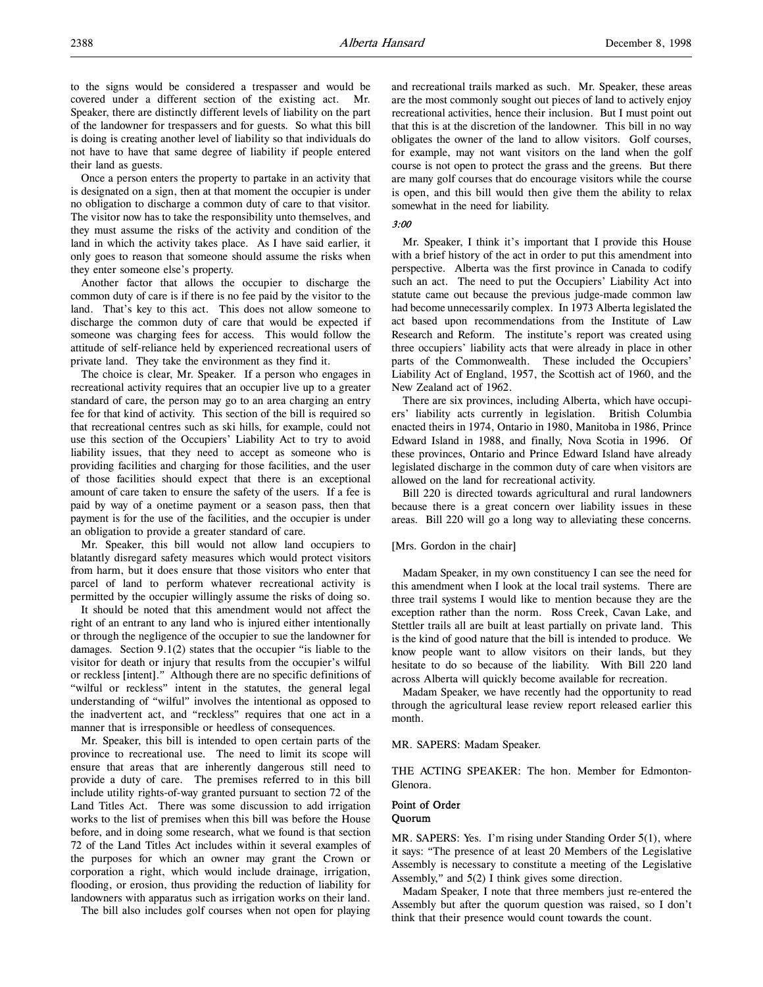to the signs would be considered a trespasser and would be covered under a different section of the existing act. Mr. Speaker, there are distinctly different levels of liability on the part of the landowner for trespassers and for guests. So what this bill is doing is creating another level of liability so that individuals do not have to have that same degree of liability if people entered their land as guests.

Once a person enters the property to partake in an activity that is designated on a sign, then at that moment the occupier is under no obligation to discharge a common duty of care to that visitor. The visitor now has to take the responsibility unto themselves, and they must assume the risks of the activity and condition of the land in which the activity takes place. As I have said earlier, it only goes to reason that someone should assume the risks when they enter someone else's property.

Another factor that allows the occupier to discharge the common duty of care is if there is no fee paid by the visitor to the land. That's key to this act. This does not allow someone to discharge the common duty of care that would be expected if someone was charging fees for access. This would follow the attitude of self-reliance held by experienced recreational users of private land. They take the environment as they find it.

The choice is clear, Mr. Speaker. If a person who engages in recreational activity requires that an occupier live up to a greater standard of care, the person may go to an area charging an entry fee for that kind of activity. This section of the bill is required so that recreational centres such as ski hills, for example, could not use this section of the Occupiers' Liability Act to try to avoid liability issues, that they need to accept as someone who is providing facilities and charging for those facilities, and the user of those facilities should expect that there is an exceptional amount of care taken to ensure the safety of the users. If a fee is paid by way of a onetime payment or a season pass, then that payment is for the use of the facilities, and the occupier is under an obligation to provide a greater standard of care.

Mr. Speaker, this bill would not allow land occupiers to blatantly disregard safety measures which would protect visitors from harm, but it does ensure that those visitors who enter that parcel of land to perform whatever recreational activity is permitted by the occupier willingly assume the risks of doing so.

It should be noted that this amendment would not affect the right of an entrant to any land who is injured either intentionally or through the negligence of the occupier to sue the landowner for damages. Section 9.1(2) states that the occupier "is liable to the visitor for death or injury that results from the occupier's wilful or reckless [intent]." Although there are no specific definitions of "wilful or reckless" intent in the statutes, the general legal understanding of "wilful" involves the intentional as opposed to the inadvertent act, and "reckless" requires that one act in a manner that is irresponsible or heedless of consequences.

Mr. Speaker, this bill is intended to open certain parts of the province to recreational use. The need to limit its scope will ensure that areas that are inherently dangerous still need to provide a duty of care. The premises referred to in this bill include utility rights-of-way granted pursuant to section 72 of the Land Titles Act. There was some discussion to add irrigation works to the list of premises when this bill was before the House before, and in doing some research, what we found is that section 72 of the Land Titles Act includes within it several examples of the purposes for which an owner may grant the Crown or corporation a right, which would include drainage, irrigation, flooding, or erosion, thus providing the reduction of liability for landowners with apparatus such as irrigation works on their land.

The bill also includes golf courses when not open for playing

and recreational trails marked as such. Mr. Speaker, these areas are the most commonly sought out pieces of land to actively enjoy recreational activities, hence their inclusion. But I must point out that this is at the discretion of the landowner. This bill in no way obligates the owner of the land to allow visitors. Golf courses, for example, may not want visitors on the land when the golf course is not open to protect the grass and the greens. But there are many golf courses that do encourage visitors while the course is open, and this bill would then give them the ability to relax somewhat in the need for liability.

## 3:00

Mr. Speaker, I think it's important that I provide this House with a brief history of the act in order to put this amendment into perspective. Alberta was the first province in Canada to codify such an act. The need to put the Occupiers' Liability Act into statute came out because the previous judge-made common law had become unnecessarily complex. In 1973 Alberta legislated the act based upon recommendations from the Institute of Law Research and Reform. The institute's report was created using three occupiers' liability acts that were already in place in other parts of the Commonwealth. These included the Occupiers' Liability Act of England, 1957, the Scottish act of 1960, and the New Zealand act of 1962.

There are six provinces, including Alberta, which have occupiers' liability acts currently in legislation. British Columbia enacted theirs in 1974, Ontario in 1980, Manitoba in 1986, Prince Edward Island in 1988, and finally, Nova Scotia in 1996. Of these provinces, Ontario and Prince Edward Island have already legislated discharge in the common duty of care when visitors are allowed on the land for recreational activity.

Bill 220 is directed towards agricultural and rural landowners because there is a great concern over liability issues in these areas. Bill 220 will go a long way to alleviating these concerns.

### [Mrs. Gordon in the chair]

Madam Speaker, in my own constituency I can see the need for this amendment when I look at the local trail systems. There are three trail systems I would like to mention because they are the exception rather than the norm. Ross Creek, Cavan Lake, and Stettler trails all are built at least partially on private land. This is the kind of good nature that the bill is intended to produce. We know people want to allow visitors on their lands, but they hesitate to do so because of the liability. With Bill 220 land across Alberta will quickly become available for recreation.

Madam Speaker, we have recently had the opportunity to read through the agricultural lease review report released earlier this month.

MR. SAPERS: Madam Speaker.

THE ACTING SPEAKER: The hon. Member for Edmonton-Glenora.

### Point of Order Quorum

MR. SAPERS: Yes. I'm rising under Standing Order 5(1), where it says: "The presence of at least 20 Members of the Legislative Assembly is necessary to constitute a meeting of the Legislative Assembly," and 5(2) I think gives some direction.

Madam Speaker, I note that three members just re-entered the Assembly but after the quorum question was raised, so I don't think that their presence would count towards the count.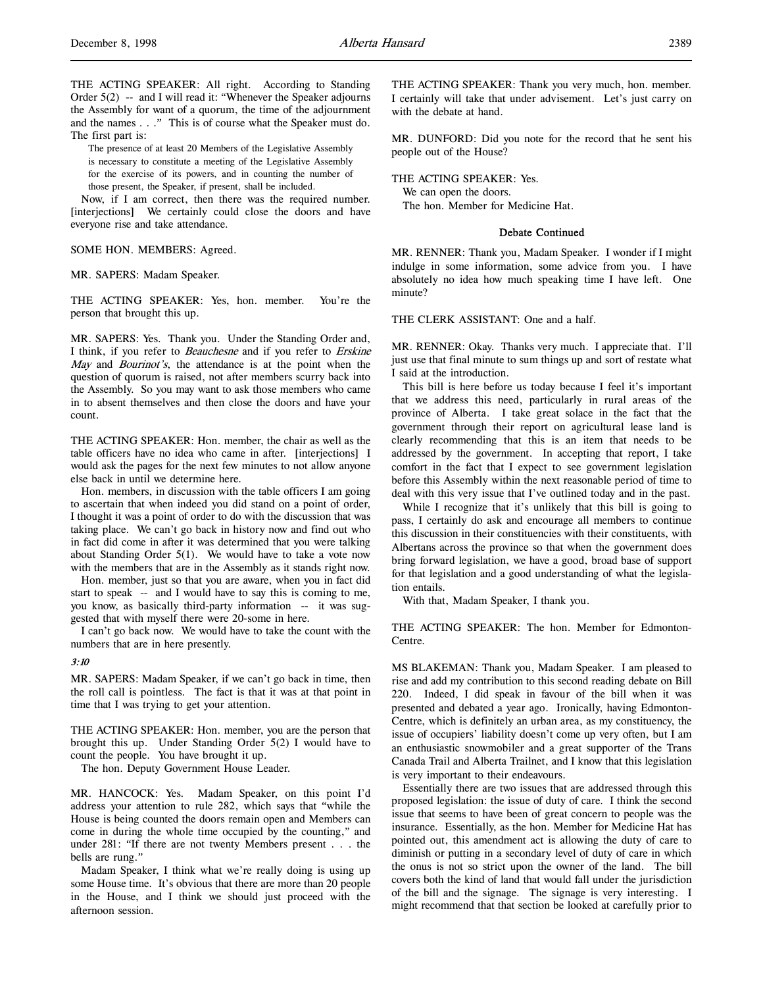THE ACTING SPEAKER: All right. According to Standing Order 5(2) -- and I will read it: "Whenever the Speaker adjourns the Assembly for want of a quorum, the time of the adjournment and the names . . ." This is of course what the Speaker must do. The first part is:

The presence of at least 20 Members of the Legislative Assembly is necessary to constitute a meeting of the Legislative Assembly for the exercise of its powers, and in counting the number of those present, the Speaker, if present, shall be included.

Now, if I am correct, then there was the required number. [interjections] We certainly could close the doors and have everyone rise and take attendance.

SOME HON. MEMBERS: Agreed.

#### MR. SAPERS: Madam Speaker.

THE ACTING SPEAKER: Yes, hon. member. You're the person that brought this up.

MR. SAPERS: Yes. Thank you. Under the Standing Order and, I think, if you refer to Beauchesne and if you refer to Erskine May and *Bourinot's*, the attendance is at the point when the question of quorum is raised, not after members scurry back into the Assembly. So you may want to ask those members who came in to absent themselves and then close the doors and have your count.

THE ACTING SPEAKER: Hon. member, the chair as well as the table officers have no idea who came in after. [interjections] I would ask the pages for the next few minutes to not allow anyone else back in until we determine here.

Hon. members, in discussion with the table officers I am going to ascertain that when indeed you did stand on a point of order, I thought it was a point of order to do with the discussion that was taking place. We can't go back in history now and find out who in fact did come in after it was determined that you were talking about Standing Order  $5(1)$ . We would have to take a vote now with the members that are in the Assembly as it stands right now.

Hon. member, just so that you are aware, when you in fact did start to speak -- and I would have to say this is coming to me, you know, as basically third-party information -- it was suggested that with myself there were 20-some in here.

I can't go back now. We would have to take the count with the numbers that are in here presently.

#### 3:10

MR. SAPERS: Madam Speaker, if we can't go back in time, then the roll call is pointless. The fact is that it was at that point in time that I was trying to get your attention.

THE ACTING SPEAKER: Hon. member, you are the person that brought this up. Under Standing Order 5(2) I would have to count the people. You have brought it up.

The hon. Deputy Government House Leader.

MR. HANCOCK: Yes. Madam Speaker, on this point I'd address your attention to rule 282, which says that "while the House is being counted the doors remain open and Members can come in during the whole time occupied by the counting," and under 281: "If there are not twenty Members present . . . the bells are rung."

Madam Speaker, I think what we're really doing is using up some House time. It's obvious that there are more than 20 people in the House, and I think we should just proceed with the afternoon session.

THE ACTING SPEAKER: Thank you very much, hon. member. I certainly will take that under advisement. Let's just carry on with the debate at hand.

MR. DUNFORD: Did you note for the record that he sent his people out of the House?

THE ACTING SPEAKER: Yes. We can open the doors. The hon. Member for Medicine Hat.

#### Debate Continued

MR. RENNER: Thank you, Madam Speaker. I wonder if I might indulge in some information, some advice from you. I have absolutely no idea how much speaking time I have left. One minute?

THE CLERK ASSISTANT: One and a half.

MR. RENNER: Okay. Thanks very much. I appreciate that. I'll just use that final minute to sum things up and sort of restate what I said at the introduction.

This bill is here before us today because I feel it's important that we address this need, particularly in rural areas of the province of Alberta. I take great solace in the fact that the government through their report on agricultural lease land is clearly recommending that this is an item that needs to be addressed by the government. In accepting that report, I take comfort in the fact that I expect to see government legislation before this Assembly within the next reasonable period of time to deal with this very issue that I've outlined today and in the past.

While I recognize that it's unlikely that this bill is going to pass, I certainly do ask and encourage all members to continue this discussion in their constituencies with their constituents, with Albertans across the province so that when the government does bring forward legislation, we have a good, broad base of support for that legislation and a good understanding of what the legislation entails.

With that, Madam Speaker, I thank you.

THE ACTING SPEAKER: The hon. Member for Edmonton-Centre.

MS BLAKEMAN: Thank you, Madam Speaker. I am pleased to rise and add my contribution to this second reading debate on Bill 220. Indeed, I did speak in favour of the bill when it was presented and debated a year ago. Ironically, having Edmonton-Centre, which is definitely an urban area, as my constituency, the issue of occupiers' liability doesn't come up very often, but I am an enthusiastic snowmobiler and a great supporter of the Trans Canada Trail and Alberta Trailnet, and I know that this legislation is very important to their endeavours.

Essentially there are two issues that are addressed through this proposed legislation: the issue of duty of care. I think the second issue that seems to have been of great concern to people was the insurance. Essentially, as the hon. Member for Medicine Hat has pointed out, this amendment act is allowing the duty of care to diminish or putting in a secondary level of duty of care in which the onus is not so strict upon the owner of the land. The bill covers both the kind of land that would fall under the jurisdiction of the bill and the signage. The signage is very interesting. I might recommend that that section be looked at carefully prior to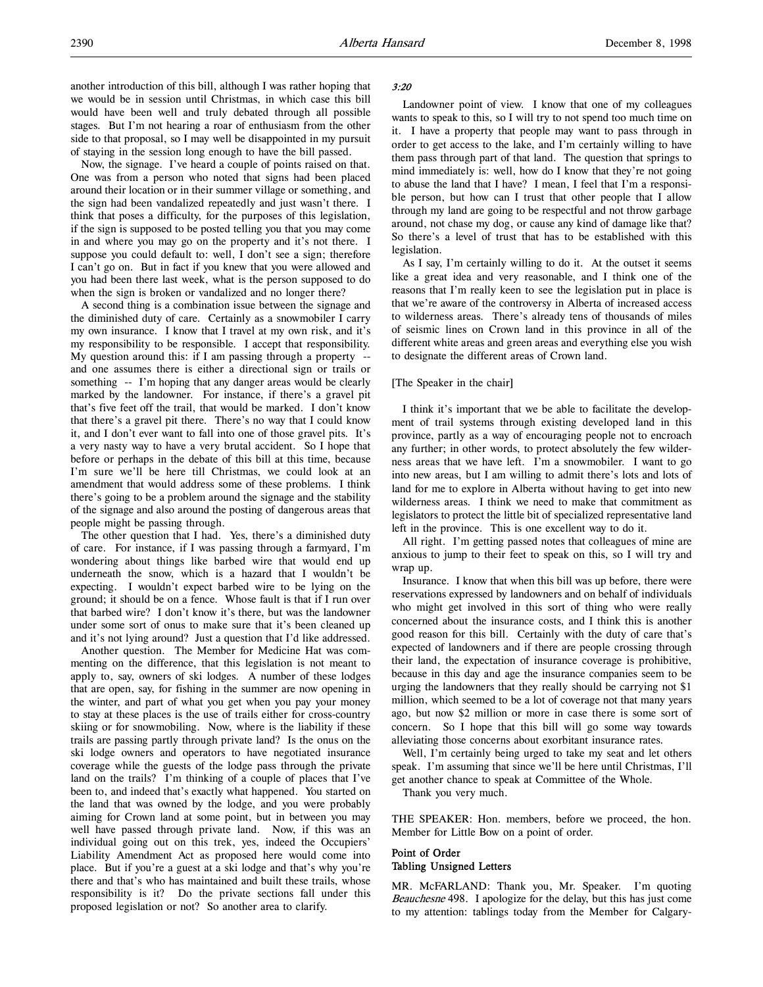another introduction of this bill, although I was rather hoping that we would be in session until Christmas, in which case this bill would have been well and truly debated through all possible stages. But I'm not hearing a roar of enthusiasm from the other side to that proposal, so I may well be disappointed in my pursuit of staying in the session long enough to have the bill passed.

Now, the signage. I've heard a couple of points raised on that. One was from a person who noted that signs had been placed around their location or in their summer village or something, and the sign had been vandalized repeatedly and just wasn't there. I think that poses a difficulty, for the purposes of this legislation, if the sign is supposed to be posted telling you that you may come in and where you may go on the property and it's not there. I suppose you could default to: well, I don't see a sign; therefore I can't go on. But in fact if you knew that you were allowed and you had been there last week, what is the person supposed to do when the sign is broken or vandalized and no longer there?

A second thing is a combination issue between the signage and the diminished duty of care. Certainly as a snowmobiler I carry my own insurance. I know that I travel at my own risk, and it's my responsibility to be responsible. I accept that responsibility. My question around this: if I am passing through a property - and one assumes there is either a directional sign or trails or something -- I'm hoping that any danger areas would be clearly marked by the landowner. For instance, if there's a gravel pit that's five feet off the trail, that would be marked. I don't know that there's a gravel pit there. There's no way that I could know it, and I don't ever want to fall into one of those gravel pits. It's a very nasty way to have a very brutal accident. So I hope that before or perhaps in the debate of this bill at this time, because I'm sure we'll be here till Christmas, we could look at an amendment that would address some of these problems. I think there's going to be a problem around the signage and the stability of the signage and also around the posting of dangerous areas that people might be passing through.

The other question that I had. Yes, there's a diminished duty of care. For instance, if I was passing through a farmyard, I'm wondering about things like barbed wire that would end up underneath the snow, which is a hazard that I wouldn't be expecting. I wouldn't expect barbed wire to be lying on the ground; it should be on a fence. Whose fault is that if I run over that barbed wire? I don't know it's there, but was the landowner under some sort of onus to make sure that it's been cleaned up and it's not lying around? Just a question that I'd like addressed.

Another question. The Member for Medicine Hat was commenting on the difference, that this legislation is not meant to apply to, say, owners of ski lodges. A number of these lodges that are open, say, for fishing in the summer are now opening in the winter, and part of what you get when you pay your money to stay at these places is the use of trails either for cross-country skiing or for snowmobiling. Now, where is the liability if these trails are passing partly through private land? Is the onus on the ski lodge owners and operators to have negotiated insurance coverage while the guests of the lodge pass through the private land on the trails? I'm thinking of a couple of places that I've been to, and indeed that's exactly what happened. You started on the land that was owned by the lodge, and you were probably aiming for Crown land at some point, but in between you may well have passed through private land. Now, if this was an individual going out on this trek, yes, indeed the Occupiers' Liability Amendment Act as proposed here would come into place. But if you're a guest at a ski lodge and that's why you're there and that's who has maintained and built these trails, whose responsibility is it? Do the private sections fall under this proposed legislation or not? So another area to clarify.

### 3:20

Landowner point of view. I know that one of my colleagues wants to speak to this, so I will try to not spend too much time on it. I have a property that people may want to pass through in order to get access to the lake, and I'm certainly willing to have them pass through part of that land. The question that springs to mind immediately is: well, how do I know that they're not going to abuse the land that I have? I mean, I feel that I'm a responsible person, but how can I trust that other people that I allow through my land are going to be respectful and not throw garbage around, not chase my dog, or cause any kind of damage like that? So there's a level of trust that has to be established with this legislation.

As I say, I'm certainly willing to do it. At the outset it seems like a great idea and very reasonable, and I think one of the reasons that I'm really keen to see the legislation put in place is that we're aware of the controversy in Alberta of increased access to wilderness areas. There's already tens of thousands of miles of seismic lines on Crown land in this province in all of the different white areas and green areas and everything else you wish to designate the different areas of Crown land.

## [The Speaker in the chair]

I think it's important that we be able to facilitate the development of trail systems through existing developed land in this province, partly as a way of encouraging people not to encroach any further; in other words, to protect absolutely the few wilderness areas that we have left. I'm a snowmobiler. I want to go into new areas, but I am willing to admit there's lots and lots of land for me to explore in Alberta without having to get into new wilderness areas. I think we need to make that commitment as legislators to protect the little bit of specialized representative land left in the province. This is one excellent way to do it.

All right. I'm getting passed notes that colleagues of mine are anxious to jump to their feet to speak on this, so I will try and wrap up.

Insurance. I know that when this bill was up before, there were reservations expressed by landowners and on behalf of individuals who might get involved in this sort of thing who were really concerned about the insurance costs, and I think this is another good reason for this bill. Certainly with the duty of care that's expected of landowners and if there are people crossing through their land, the expectation of insurance coverage is prohibitive, because in this day and age the insurance companies seem to be urging the landowners that they really should be carrying not \$1 million, which seemed to be a lot of coverage not that many years ago, but now \$2 million or more in case there is some sort of concern. So I hope that this bill will go some way towards alleviating those concerns about exorbitant insurance rates.

Well, I'm certainly being urged to take my seat and let others speak. I'm assuming that since we'll be here until Christmas, I'll get another chance to speak at Committee of the Whole.

Thank you very much.

THE SPEAKER: Hon. members, before we proceed, the hon. Member for Little Bow on a point of order.

## Point of Order Tabling Unsigned Letters

MR. McFARLAND: Thank you, Mr. Speaker. I'm quoting Beauchesne 498. I apologize for the delay, but this has just come to my attention: tablings today from the Member for Calgary-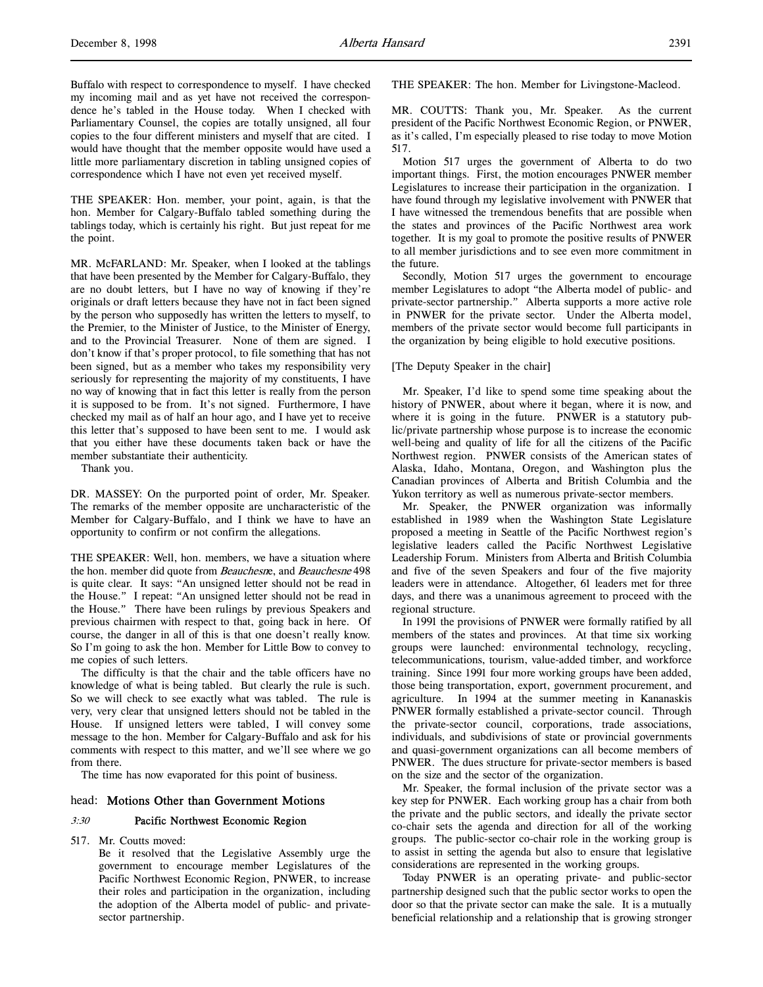THE SPEAKER: Hon. member, your point, again, is that the hon. Member for Calgary-Buffalo tabled something during the tablings today, which is certainly his right. But just repeat for me the point.

MR. McFARLAND: Mr. Speaker, when I looked at the tablings that have been presented by the Member for Calgary-Buffalo, they are no doubt letters, but I have no way of knowing if they're originals or draft letters because they have not in fact been signed by the person who supposedly has written the letters to myself, to the Premier, to the Minister of Justice, to the Minister of Energy, and to the Provincial Treasurer. None of them are signed. I don't know if that's proper protocol, to file something that has not been signed, but as a member who takes my responsibility very seriously for representing the majority of my constituents, I have no way of knowing that in fact this letter is really from the person it is supposed to be from. It's not signed. Furthermore, I have checked my mail as of half an hour ago, and I have yet to receive this letter that's supposed to have been sent to me. I would ask that you either have these documents taken back or have the member substantiate their authenticity.

Thank you.

DR. MASSEY: On the purported point of order, Mr. Speaker. The remarks of the member opposite are uncharacteristic of the Member for Calgary-Buffalo, and I think we have to have an opportunity to confirm or not confirm the allegations.

THE SPEAKER: Well, hon. members, we have a situation where the hon. member did quote from *Beauchesne*, and *Beauchesne* 498 is quite clear. It says: "An unsigned letter should not be read in the House." I repeat: "An unsigned letter should not be read in the House." There have been rulings by previous Speakers and previous chairmen with respect to that, going back in here. Of course, the danger in all of this is that one doesn't really know. So I'm going to ask the hon. Member for Little Bow to convey to me copies of such letters.

The difficulty is that the chair and the table officers have no knowledge of what is being tabled. But clearly the rule is such. So we will check to see exactly what was tabled. The rule is very, very clear that unsigned letters should not be tabled in the House. If unsigned letters were tabled, I will convey some message to the hon. Member for Calgary-Buffalo and ask for his comments with respect to this matter, and we'll see where we go from there.

The time has now evaporated for this point of business.

# head: Motions Other than Government Motions

#### 3:30 Pacific Northwest Economic Region

517. Mr. Coutts moved:

Be it resolved that the Legislative Assembly urge the government to encourage member Legislatures of the Pacific Northwest Economic Region, PNWER, to increase their roles and participation in the organization, including the adoption of the Alberta model of public- and privatesector partnership.

THE SPEAKER: The hon. Member for Livingstone-Macleod.

MR. COUTTS: Thank you, Mr. Speaker. As the current president of the Pacific Northwest Economic Region, or PNWER, as it's called, I'm especially pleased to rise today to move Motion 517.

Motion 517 urges the government of Alberta to do two important things. First, the motion encourages PNWER member Legislatures to increase their participation in the organization. I have found through my legislative involvement with PNWER that I have witnessed the tremendous benefits that are possible when the states and provinces of the Pacific Northwest area work together. It is my goal to promote the positive results of PNWER to all member jurisdictions and to see even more commitment in the future.

Secondly, Motion 517 urges the government to encourage member Legislatures to adopt "the Alberta model of public- and private-sector partnership." Alberta supports a more active role in PNWER for the private sector. Under the Alberta model, members of the private sector would become full participants in the organization by being eligible to hold executive positions.

#### [The Deputy Speaker in the chair]

Mr. Speaker, I'd like to spend some time speaking about the history of PNWER, about where it began, where it is now, and where it is going in the future. PNWER is a statutory public/private partnership whose purpose is to increase the economic well-being and quality of life for all the citizens of the Pacific Northwest region. PNWER consists of the American states of Alaska, Idaho, Montana, Oregon, and Washington plus the Canadian provinces of Alberta and British Columbia and the Yukon territory as well as numerous private-sector members.

Mr. Speaker, the PNWER organization was informally established in 1989 when the Washington State Legislature proposed a meeting in Seattle of the Pacific Northwest region's legislative leaders called the Pacific Northwest Legislative Leadership Forum. Ministers from Alberta and British Columbia and five of the seven Speakers and four of the five majority leaders were in attendance. Altogether, 61 leaders met for three days, and there was a unanimous agreement to proceed with the regional structure.

In 1991 the provisions of PNWER were formally ratified by all members of the states and provinces. At that time six working groups were launched: environmental technology, recycling, telecommunications, tourism, value-added timber, and workforce training. Since 1991 four more working groups have been added, those being transportation, export, government procurement, and agriculture. In 1994 at the summer meeting in Kananaskis PNWER formally established a private-sector council. Through the private-sector council, corporations, trade associations, individuals, and subdivisions of state or provincial governments and quasi-government organizations can all become members of PNWER. The dues structure for private-sector members is based on the size and the sector of the organization.

Mr. Speaker, the formal inclusion of the private sector was a key step for PNWER. Each working group has a chair from both the private and the public sectors, and ideally the private sector co-chair sets the agenda and direction for all of the working groups. The public-sector co-chair role in the working group is to assist in setting the agenda but also to ensure that legislative considerations are represented in the working groups.

Today PNWER is an operating private- and public-sector partnership designed such that the public sector works to open the door so that the private sector can make the sale. It is a mutually beneficial relationship and a relationship that is growing stronger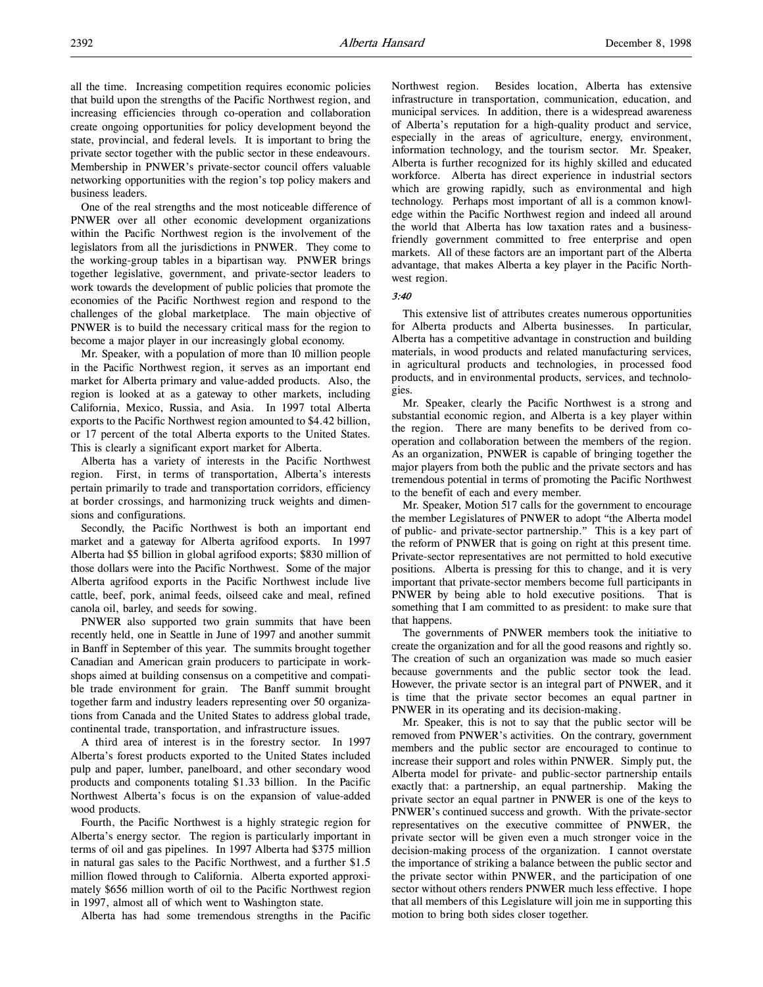all the time. Increasing competition requires economic policies that build upon the strengths of the Pacific Northwest region, and increasing efficiencies through co-operation and collaboration create ongoing opportunities for policy development beyond the state, provincial, and federal levels. It is important to bring the private sector together with the public sector in these endeavours. Membership in PNWER's private-sector council offers valuable networking opportunities with the region's top policy makers and business leaders.

One of the real strengths and the most noticeable difference of PNWER over all other economic development organizations within the Pacific Northwest region is the involvement of the legislators from all the jurisdictions in PNWER. They come to the working-group tables in a bipartisan way. PNWER brings together legislative, government, and private-sector leaders to work towards the development of public policies that promote the economies of the Pacific Northwest region and respond to the challenges of the global marketplace. The main objective of PNWER is to build the necessary critical mass for the region to become a major player in our increasingly global economy.

Mr. Speaker, with a population of more than 10 million people in the Pacific Northwest region, it serves as an important end market for Alberta primary and value-added products. Also, the region is looked at as a gateway to other markets, including California, Mexico, Russia, and Asia. In 1997 total Alberta exports to the Pacific Northwest region amounted to \$4.42 billion, or 17 percent of the total Alberta exports to the United States. This is clearly a significant export market for Alberta.

Alberta has a variety of interests in the Pacific Northwest region. First, in terms of transportation, Alberta's interests pertain primarily to trade and transportation corridors, efficiency at border crossings, and harmonizing truck weights and dimensions and configurations.

Secondly, the Pacific Northwest is both an important end market and a gateway for Alberta agrifood exports. In 1997 Alberta had \$5 billion in global agrifood exports; \$830 million of those dollars were into the Pacific Northwest. Some of the major Alberta agrifood exports in the Pacific Northwest include live cattle, beef, pork, animal feeds, oilseed cake and meal, refined canola oil, barley, and seeds for sowing.

PNWER also supported two grain summits that have been recently held, one in Seattle in June of 1997 and another summit in Banff in September of this year. The summits brought together Canadian and American grain producers to participate in workshops aimed at building consensus on a competitive and compatible trade environment for grain. The Banff summit brought together farm and industry leaders representing over 50 organizations from Canada and the United States to address global trade, continental trade, transportation, and infrastructure issues.

A third area of interest is in the forestry sector. In 1997 Alberta's forest products exported to the United States included pulp and paper, lumber, panelboard, and other secondary wood products and components totaling \$1.33 billion. In the Pacific Northwest Alberta's focus is on the expansion of value-added wood products.

Fourth, the Pacific Northwest is a highly strategic region for Alberta's energy sector. The region is particularly important in terms of oil and gas pipelines. In 1997 Alberta had \$375 million in natural gas sales to the Pacific Northwest, and a further \$1.5 million flowed through to California. Alberta exported approximately \$656 million worth of oil to the Pacific Northwest region in 1997, almost all of which went to Washington state.

Alberta has had some tremendous strengths in the Pacific

Northwest region. Besides location, Alberta has extensive infrastructure in transportation, communication, education, and municipal services. In addition, there is a widespread awareness of Alberta's reputation for a high-quality product and service, especially in the areas of agriculture, energy, environment, information technology, and the tourism sector. Mr. Speaker, Alberta is further recognized for its highly skilled and educated workforce. Alberta has direct experience in industrial sectors which are growing rapidly, such as environmental and high technology. Perhaps most important of all is a common knowledge within the Pacific Northwest region and indeed all around the world that Alberta has low taxation rates and a businessfriendly government committed to free enterprise and open markets. All of these factors are an important part of the Alberta advantage, that makes Alberta a key player in the Pacific Northwest region.

### 3:40

This extensive list of attributes creates numerous opportunities for Alberta products and Alberta businesses. In particular, Alberta has a competitive advantage in construction and building materials, in wood products and related manufacturing services, in agricultural products and technologies, in processed food products, and in environmental products, services, and technologies.

Mr. Speaker, clearly the Pacific Northwest is a strong and substantial economic region, and Alberta is a key player within the region. There are many benefits to be derived from cooperation and collaboration between the members of the region. As an organization, PNWER is capable of bringing together the major players from both the public and the private sectors and has tremendous potential in terms of promoting the Pacific Northwest to the benefit of each and every member.

Mr. Speaker, Motion 517 calls for the government to encourage the member Legislatures of PNWER to adopt "the Alberta model of public- and private-sector partnership." This is a key part of the reform of PNWER that is going on right at this present time. Private-sector representatives are not permitted to hold executive positions. Alberta is pressing for this to change, and it is very important that private-sector members become full participants in PNWER by being able to hold executive positions. That is something that I am committed to as president: to make sure that that happens.

The governments of PNWER members took the initiative to create the organization and for all the good reasons and rightly so. The creation of such an organization was made so much easier because governments and the public sector took the lead. However, the private sector is an integral part of PNWER, and it is time that the private sector becomes an equal partner in PNWER in its operating and its decision-making.

Mr. Speaker, this is not to say that the public sector will be removed from PNWER's activities. On the contrary, government members and the public sector are encouraged to continue to increase their support and roles within PNWER. Simply put, the Alberta model for private- and public-sector partnership entails exactly that: a partnership, an equal partnership. Making the private sector an equal partner in PNWER is one of the keys to PNWER's continued success and growth. With the private-sector representatives on the executive committee of PNWER, the private sector will be given even a much stronger voice in the decision-making process of the organization. I cannot overstate the importance of striking a balance between the public sector and the private sector within PNWER, and the participation of one sector without others renders PNWER much less effective. I hope that all members of this Legislature will join me in supporting this motion to bring both sides closer together.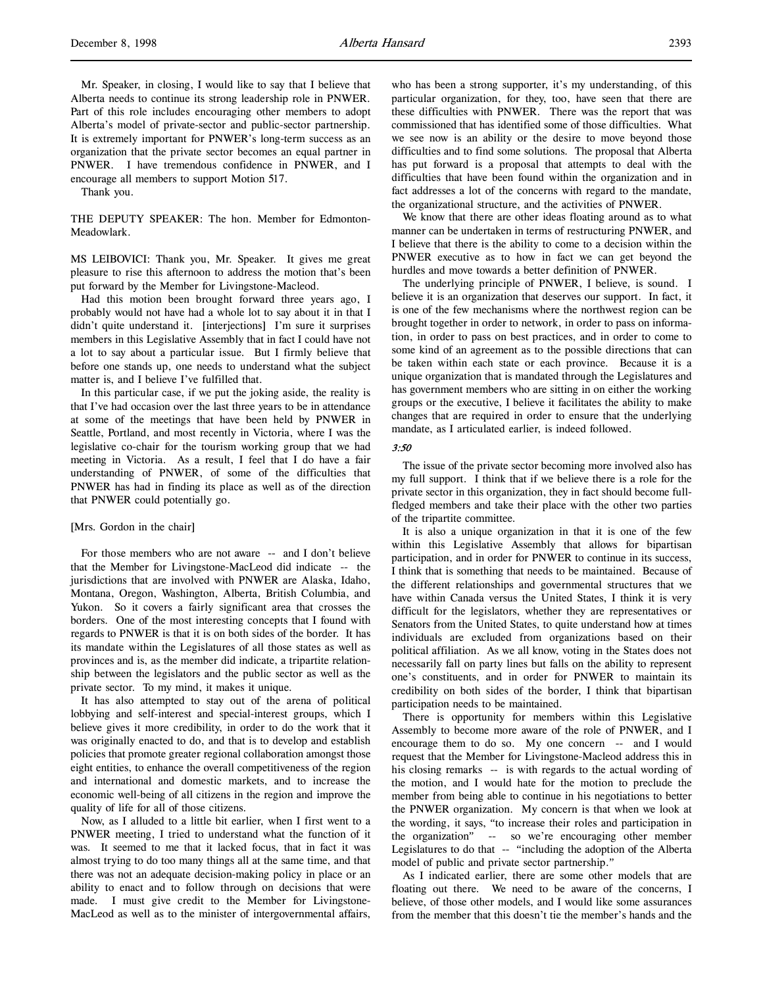Mr. Speaker, in closing, I would like to say that I believe that Alberta needs to continue its strong leadership role in PNWER. Part of this role includes encouraging other members to adopt Alberta's model of private-sector and public-sector partnership. It is extremely important for PNWER's long-term success as an organization that the private sector becomes an equal partner in PNWER. I have tremendous confidence in PNWER, and I encourage all members to support Motion 517.

Thank you.

THE DEPUTY SPEAKER: The hon. Member for Edmonton-Meadowlark.

MS LEIBOVICI: Thank you, Mr. Speaker. It gives me great pleasure to rise this afternoon to address the motion that's been put forward by the Member for Livingstone-Macleod.

Had this motion been brought forward three years ago, I probably would not have had a whole lot to say about it in that I didn't quite understand it. [interjections] I'm sure it surprises members in this Legislative Assembly that in fact I could have not a lot to say about a particular issue. But I firmly believe that before one stands up, one needs to understand what the subject matter is, and I believe I've fulfilled that.

In this particular case, if we put the joking aside, the reality is that I've had occasion over the last three years to be in attendance at some of the meetings that have been held by PNWER in Seattle, Portland, and most recently in Victoria, where I was the legislative co-chair for the tourism working group that we had meeting in Victoria. As a result, I feel that I do have a fair understanding of PNWER, of some of the difficulties that PNWER has had in finding its place as well as of the direction that PNWER could potentially go.

#### [Mrs. Gordon in the chair]

For those members who are not aware -- and I don't believe that the Member for Livingstone-MacLeod did indicate -- the jurisdictions that are involved with PNWER are Alaska, Idaho, Montana, Oregon, Washington, Alberta, British Columbia, and Yukon. So it covers a fairly significant area that crosses the borders. One of the most interesting concepts that I found with regards to PNWER is that it is on both sides of the border. It has its mandate within the Legislatures of all those states as well as provinces and is, as the member did indicate, a tripartite relationship between the legislators and the public sector as well as the private sector. To my mind, it makes it unique.

It has also attempted to stay out of the arena of political lobbying and self-interest and special-interest groups, which I believe gives it more credibility, in order to do the work that it was originally enacted to do, and that is to develop and establish policies that promote greater regional collaboration amongst those eight entities, to enhance the overall competitiveness of the region and international and domestic markets, and to increase the economic well-being of all citizens in the region and improve the quality of life for all of those citizens.

Now, as I alluded to a little bit earlier, when I first went to a PNWER meeting, I tried to understand what the function of it was. It seemed to me that it lacked focus, that in fact it was almost trying to do too many things all at the same time, and that there was not an adequate decision-making policy in place or an ability to enact and to follow through on decisions that were made. I must give credit to the Member for Livingstone-MacLeod as well as to the minister of intergovernmental affairs,

who has been a strong supporter, it's my understanding, of this particular organization, for they, too, have seen that there are these difficulties with PNWER. There was the report that was commissioned that has identified some of those difficulties. What we see now is an ability or the desire to move beyond those difficulties and to find some solutions. The proposal that Alberta has put forward is a proposal that attempts to deal with the difficulties that have been found within the organization and in fact addresses a lot of the concerns with regard to the mandate, the organizational structure, and the activities of PNWER.

We know that there are other ideas floating around as to what manner can be undertaken in terms of restructuring PNWER, and I believe that there is the ability to come to a decision within the PNWER executive as to how in fact we can get beyond the hurdles and move towards a better definition of PNWER.

The underlying principle of PNWER, I believe, is sound. I believe it is an organization that deserves our support. In fact, it is one of the few mechanisms where the northwest region can be brought together in order to network, in order to pass on information, in order to pass on best practices, and in order to come to some kind of an agreement as to the possible directions that can be taken within each state or each province. Because it is a unique organization that is mandated through the Legislatures and has government members who are sitting in on either the working groups or the executive, I believe it facilitates the ability to make changes that are required in order to ensure that the underlying mandate, as I articulated earlier, is indeed followed.

#### 3:50

The issue of the private sector becoming more involved also has my full support. I think that if we believe there is a role for the private sector in this organization, they in fact should become fullfledged members and take their place with the other two parties of the tripartite committee.

It is also a unique organization in that it is one of the few within this Legislative Assembly that allows for bipartisan participation, and in order for PNWER to continue in its success, I think that is something that needs to be maintained. Because of the different relationships and governmental structures that we have within Canada versus the United States, I think it is very difficult for the legislators, whether they are representatives or Senators from the United States, to quite understand how at times individuals are excluded from organizations based on their political affiliation. As we all know, voting in the States does not necessarily fall on party lines but falls on the ability to represent one's constituents, and in order for PNWER to maintain its credibility on both sides of the border, I think that bipartisan participation needs to be maintained.

There is opportunity for members within this Legislative Assembly to become more aware of the role of PNWER, and I encourage them to do so. My one concern -- and I would request that the Member for Livingstone-Macleod address this in his closing remarks -- is with regards to the actual wording of the motion, and I would hate for the motion to preclude the member from being able to continue in his negotiations to better the PNWER organization. My concern is that when we look at the wording, it says, "to increase their roles and participation in the organization" -- so we're encouraging other member Legislatures to do that -- "including the adoption of the Alberta model of public and private sector partnership."

As I indicated earlier, there are some other models that are floating out there. We need to be aware of the concerns, I believe, of those other models, and I would like some assurances from the member that this doesn't tie the member's hands and the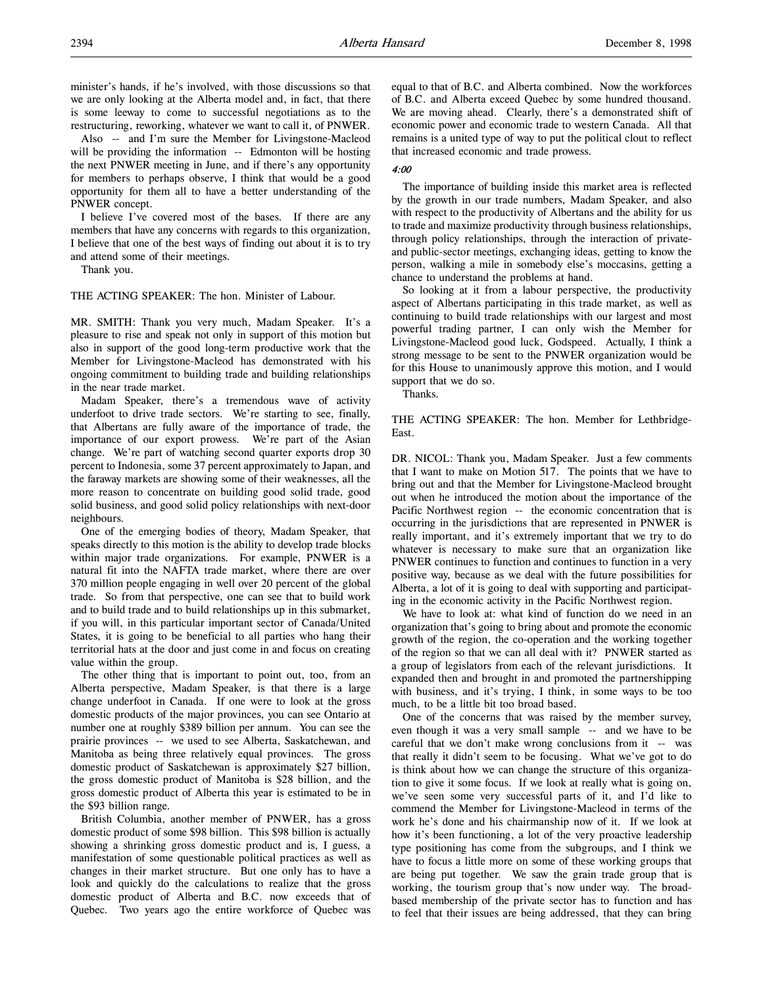minister's hands, if he's involved, with those discussions so that we are only looking at the Alberta model and, in fact, that there is some leeway to come to successful negotiations as to the restructuring, reworking, whatever we want to call it, of PNWER.

Also -- and I'm sure the Member for Livingstone-Macleod will be providing the information -- Edmonton will be hosting the next PNWER meeting in June, and if there's any opportunity for members to perhaps observe, I think that would be a good opportunity for them all to have a better understanding of the PNWER concept.

I believe I've covered most of the bases. If there are any members that have any concerns with regards to this organization, I believe that one of the best ways of finding out about it is to try and attend some of their meetings.

Thank you.

THE ACTING SPEAKER: The hon. Minister of Labour.

MR. SMITH: Thank you very much, Madam Speaker. It's a pleasure to rise and speak not only in support of this motion but also in support of the good long-term productive work that the Member for Livingstone-Macleod has demonstrated with his ongoing commitment to building trade and building relationships in the near trade market.

Madam Speaker, there's a tremendous wave of activity underfoot to drive trade sectors. We're starting to see, finally, that Albertans are fully aware of the importance of trade, the importance of our export prowess. We're part of the Asian change. We're part of watching second quarter exports drop 30 percent to Indonesia, some 37 percent approximately to Japan, and the faraway markets are showing some of their weaknesses, all the more reason to concentrate on building good solid trade, good solid business, and good solid policy relationships with next-door neighbours.

One of the emerging bodies of theory, Madam Speaker, that speaks directly to this motion is the ability to develop trade blocks within major trade organizations. For example, PNWER is a natural fit into the NAFTA trade market, where there are over 370 million people engaging in well over 20 percent of the global trade. So from that perspective, one can see that to build work and to build trade and to build relationships up in this submarket, if you will, in this particular important sector of Canada/United States, it is going to be beneficial to all parties who hang their territorial hats at the door and just come in and focus on creating value within the group.

The other thing that is important to point out, too, from an Alberta perspective, Madam Speaker, is that there is a large change underfoot in Canada. If one were to look at the gross domestic products of the major provinces, you can see Ontario at number one at roughly \$389 billion per annum. You can see the prairie provinces -- we used to see Alberta, Saskatchewan, and Manitoba as being three relatively equal provinces. The gross domestic product of Saskatchewan is approximately \$27 billion, the gross domestic product of Manitoba is \$28 billion, and the gross domestic product of Alberta this year is estimated to be in the \$93 billion range.

British Columbia, another member of PNWER, has a gross domestic product of some \$98 billion. This \$98 billion is actually showing a shrinking gross domestic product and is, I guess, a manifestation of some questionable political practices as well as changes in their market structure. But one only has to have a look and quickly do the calculations to realize that the gross domestic product of Alberta and B.C. now exceeds that of Quebec. Two years ago the entire workforce of Quebec was

equal to that of B.C. and Alberta combined. Now the workforces of B.C. and Alberta exceed Quebec by some hundred thousand. We are moving ahead. Clearly, there's a demonstrated shift of economic power and economic trade to western Canada. All that remains is a united type of way to put the political clout to reflect that increased economic and trade prowess.

### $4.00$

The importance of building inside this market area is reflected by the growth in our trade numbers, Madam Speaker, and also with respect to the productivity of Albertans and the ability for us to trade and maximize productivity through business relationships, through policy relationships, through the interaction of privateand public-sector meetings, exchanging ideas, getting to know the person, walking a mile in somebody else's moccasins, getting a chance to understand the problems at hand.

So looking at it from a labour perspective, the productivity aspect of Albertans participating in this trade market, as well as continuing to build trade relationships with our largest and most powerful trading partner, I can only wish the Member for Livingstone-Macleod good luck, Godspeed. Actually, I think a strong message to be sent to the PNWER organization would be for this House to unanimously approve this motion, and I would support that we do so.

Thanks.

THE ACTING SPEAKER: The hon. Member for Lethbridge-East.

DR. NICOL: Thank you, Madam Speaker. Just a few comments that I want to make on Motion 517. The points that we have to bring out and that the Member for Livingstone-Macleod brought out when he introduced the motion about the importance of the Pacific Northwest region -- the economic concentration that is occurring in the jurisdictions that are represented in PNWER is really important, and it's extremely important that we try to do whatever is necessary to make sure that an organization like PNWER continues to function and continues to function in a very positive way, because as we deal with the future possibilities for Alberta, a lot of it is going to deal with supporting and participating in the economic activity in the Pacific Northwest region.

We have to look at: what kind of function do we need in an organization that's going to bring about and promote the economic growth of the region, the co-operation and the working together of the region so that we can all deal with it? PNWER started as a group of legislators from each of the relevant jurisdictions. It expanded then and brought in and promoted the partnershipping with business, and it's trying, I think, in some ways to be too much, to be a little bit too broad based.

One of the concerns that was raised by the member survey, even though it was a very small sample -- and we have to be careful that we don't make wrong conclusions from it -- was that really it didn't seem to be focusing. What we've got to do is think about how we can change the structure of this organization to give it some focus. If we look at really what is going on, we've seen some very successful parts of it, and I'd like to commend the Member for Livingstone-Macleod in terms of the work he's done and his chairmanship now of it. If we look at how it's been functioning, a lot of the very proactive leadership type positioning has come from the subgroups, and I think we have to focus a little more on some of these working groups that are being put together. We saw the grain trade group that is working, the tourism group that's now under way. The broadbased membership of the private sector has to function and has to feel that their issues are being addressed, that they can bring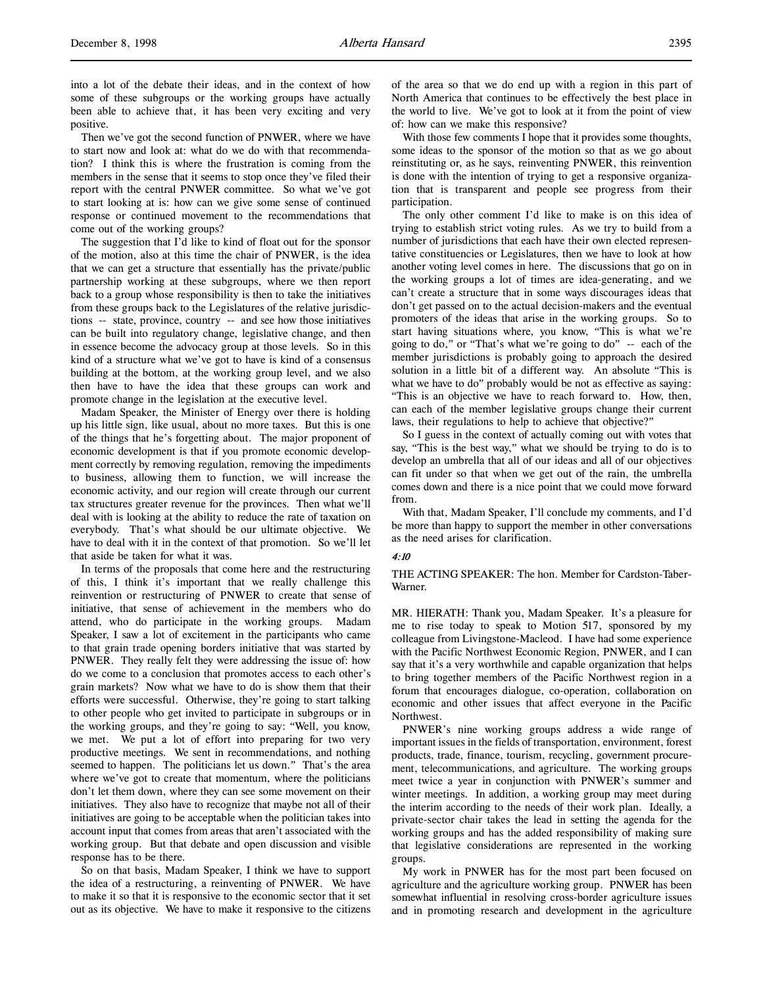into a lot of the debate their ideas, and in the context of how some of these subgroups or the working groups have actually been able to achieve that, it has been very exciting and very positive.

Then we've got the second function of PNWER, where we have to start now and look at: what do we do with that recommendation? I think this is where the frustration is coming from the members in the sense that it seems to stop once they've filed their report with the central PNWER committee. So what we've got to start looking at is: how can we give some sense of continued response or continued movement to the recommendations that come out of the working groups?

The suggestion that I'd like to kind of float out for the sponsor of the motion, also at this time the chair of PNWER, is the idea that we can get a structure that essentially has the private/public partnership working at these subgroups, where we then report back to a group whose responsibility is then to take the initiatives from these groups back to the Legislatures of the relative jurisdictions -- state, province, country -- and see how those initiatives can be built into regulatory change, legislative change, and then in essence become the advocacy group at those levels. So in this kind of a structure what we've got to have is kind of a consensus building at the bottom, at the working group level, and we also then have to have the idea that these groups can work and promote change in the legislation at the executive level.

Madam Speaker, the Minister of Energy over there is holding up his little sign, like usual, about no more taxes. But this is one of the things that he's forgetting about. The major proponent of economic development is that if you promote economic development correctly by removing regulation, removing the impediments to business, allowing them to function, we will increase the economic activity, and our region will create through our current tax structures greater revenue for the provinces. Then what we'll deal with is looking at the ability to reduce the rate of taxation on everybody. That's what should be our ultimate objective. We have to deal with it in the context of that promotion. So we'll let that aside be taken for what it was.

In terms of the proposals that come here and the restructuring of this, I think it's important that we really challenge this reinvention or restructuring of PNWER to create that sense of initiative, that sense of achievement in the members who do attend, who do participate in the working groups. Madam Speaker, I saw a lot of excitement in the participants who came to that grain trade opening borders initiative that was started by PNWER. They really felt they were addressing the issue of: how do we come to a conclusion that promotes access to each other's grain markets? Now what we have to do is show them that their efforts were successful. Otherwise, they're going to start talking to other people who get invited to participate in subgroups or in the working groups, and they're going to say: "Well, you know, we met. We put a lot of effort into preparing for two very productive meetings. We sent in recommendations, and nothing seemed to happen. The politicians let us down." That's the area where we've got to create that momentum, where the politicians don't let them down, where they can see some movement on their initiatives. They also have to recognize that maybe not all of their initiatives are going to be acceptable when the politician takes into account input that comes from areas that aren't associated with the working group. But that debate and open discussion and visible response has to be there.

So on that basis, Madam Speaker, I think we have to support the idea of a restructuring, a reinventing of PNWER. We have to make it so that it is responsive to the economic sector that it set out as its objective. We have to make it responsive to the citizens

of the area so that we do end up with a region in this part of North America that continues to be effectively the best place in the world to live. We've got to look at it from the point of view of: how can we make this responsive?

With those few comments I hope that it provides some thoughts, some ideas to the sponsor of the motion so that as we go about reinstituting or, as he says, reinventing PNWER, this reinvention is done with the intention of trying to get a responsive organization that is transparent and people see progress from their participation.

The only other comment I'd like to make is on this idea of trying to establish strict voting rules. As we try to build from a number of jurisdictions that each have their own elected representative constituencies or Legislatures, then we have to look at how another voting level comes in here. The discussions that go on in the working groups a lot of times are idea-generating, and we can't create a structure that in some ways discourages ideas that don't get passed on to the actual decision-makers and the eventual promoters of the ideas that arise in the working groups. So to start having situations where, you know, "This is what we're going to do," or "That's what we're going to do" -- each of the member jurisdictions is probably going to approach the desired solution in a little bit of a different way. An absolute "This is what we have to do" probably would be not as effective as saying: "This is an objective we have to reach forward to. How, then, can each of the member legislative groups change their current laws, their regulations to help to achieve that objective?"

So I guess in the context of actually coming out with votes that say, "This is the best way," what we should be trying to do is to develop an umbrella that all of our ideas and all of our objectives can fit under so that when we get out of the rain, the umbrella comes down and there is a nice point that we could move forward from.

With that, Madam Speaker, I'll conclude my comments, and I'd be more than happy to support the member in other conversations as the need arises for clarification.

#### 4:10

THE ACTING SPEAKER: The hon. Member for Cardston-Taber-Warner.

MR. HIERATH: Thank you, Madam Speaker. It's a pleasure for me to rise today to speak to Motion 517, sponsored by my colleague from Livingstone-Macleod. I have had some experience with the Pacific Northwest Economic Region, PNWER, and I can say that it's a very worthwhile and capable organization that helps to bring together members of the Pacific Northwest region in a forum that encourages dialogue, co-operation, collaboration on economic and other issues that affect everyone in the Pacific Northwest.

PNWER's nine working groups address a wide range of important issues in the fields of transportation, environment, forest products, trade, finance, tourism, recycling, government procurement, telecommunications, and agriculture. The working groups meet twice a year in conjunction with PNWER's summer and winter meetings. In addition, a working group may meet during the interim according to the needs of their work plan. Ideally, a private-sector chair takes the lead in setting the agenda for the working groups and has the added responsibility of making sure that legislative considerations are represented in the working groups.

My work in PNWER has for the most part been focused on agriculture and the agriculture working group. PNWER has been somewhat influential in resolving cross-border agriculture issues and in promoting research and development in the agriculture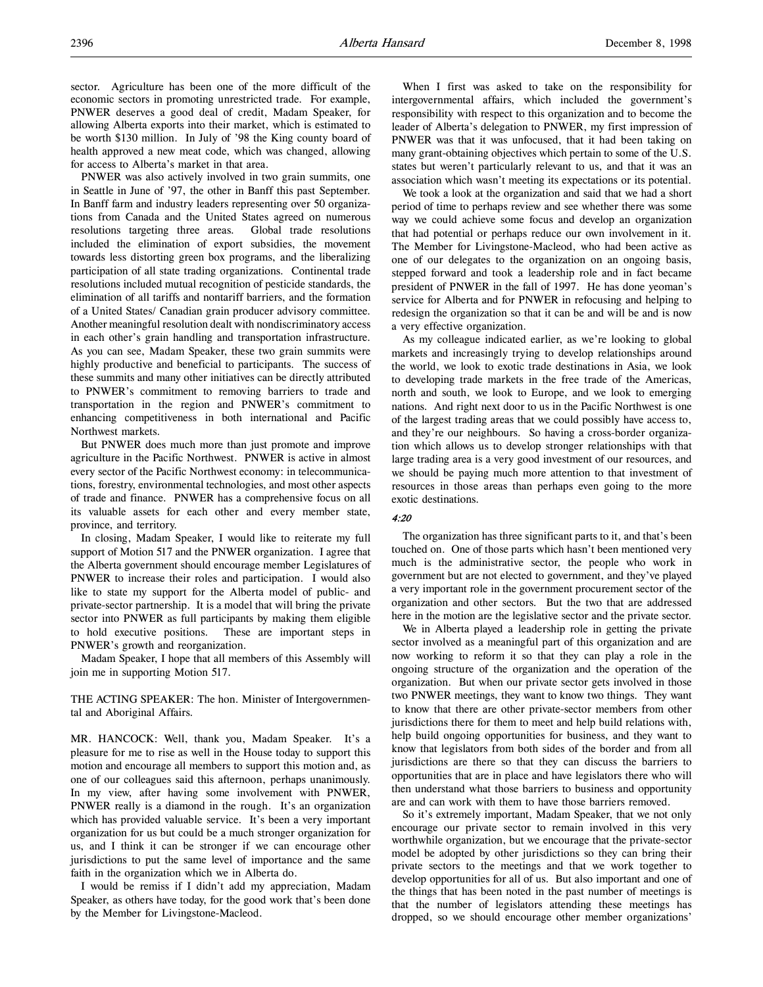sector. Agriculture has been one of the more difficult of the economic sectors in promoting unrestricted trade. For example, PNWER deserves a good deal of credit, Madam Speaker, for allowing Alberta exports into their market, which is estimated to be worth \$130 million. In July of '98 the King county board of health approved a new meat code, which was changed, allowing for access to Alberta's market in that area.

PNWER was also actively involved in two grain summits, one in Seattle in June of '97, the other in Banff this past September. In Banff farm and industry leaders representing over 50 organizations from Canada and the United States agreed on numerous resolutions targeting three areas. Global trade resolutions included the elimination of export subsidies, the movement towards less distorting green box programs, and the liberalizing participation of all state trading organizations. Continental trade resolutions included mutual recognition of pesticide standards, the elimination of all tariffs and nontariff barriers, and the formation of a United States/ Canadian grain producer advisory committee. Another meaningful resolution dealt with nondiscriminatory access in each other's grain handling and transportation infrastructure. As you can see, Madam Speaker, these two grain summits were highly productive and beneficial to participants. The success of these summits and many other initiatives can be directly attributed to PNWER's commitment to removing barriers to trade and transportation in the region and PNWER's commitment to enhancing competitiveness in both international and Pacific Northwest markets.

But PNWER does much more than just promote and improve agriculture in the Pacific Northwest. PNWER is active in almost every sector of the Pacific Northwest economy: in telecommunications, forestry, environmental technologies, and most other aspects of trade and finance. PNWER has a comprehensive focus on all its valuable assets for each other and every member state, province, and territory.

In closing, Madam Speaker, I would like to reiterate my full support of Motion 517 and the PNWER organization. I agree that the Alberta government should encourage member Legislatures of PNWER to increase their roles and participation. I would also like to state my support for the Alberta model of public- and private-sector partnership. It is a model that will bring the private sector into PNWER as full participants by making them eligible to hold executive positions. These are important steps in PNWER's growth and reorganization.

Madam Speaker, I hope that all members of this Assembly will join me in supporting Motion 517.

THE ACTING SPEAKER: The hon. Minister of Intergovernmental and Aboriginal Affairs.

MR. HANCOCK: Well, thank you, Madam Speaker. It's a pleasure for me to rise as well in the House today to support this motion and encourage all members to support this motion and, as one of our colleagues said this afternoon, perhaps unanimously. In my view, after having some involvement with PNWER, PNWER really is a diamond in the rough. It's an organization which has provided valuable service. It's been a very important organization for us but could be a much stronger organization for us, and I think it can be stronger if we can encourage other jurisdictions to put the same level of importance and the same faith in the organization which we in Alberta do.

I would be remiss if I didn't add my appreciation, Madam Speaker, as others have today, for the good work that's been done by the Member for Livingstone-Macleod.

When I first was asked to take on the responsibility for intergovernmental affairs, which included the government's responsibility with respect to this organization and to become the leader of Alberta's delegation to PNWER, my first impression of PNWER was that it was unfocused, that it had been taking on many grant-obtaining objectives which pertain to some of the U.S. states but weren't particularly relevant to us, and that it was an association which wasn't meeting its expectations or its potential.

We took a look at the organization and said that we had a short period of time to perhaps review and see whether there was some way we could achieve some focus and develop an organization that had potential or perhaps reduce our own involvement in it. The Member for Livingstone-Macleod, who had been active as one of our delegates to the organization on an ongoing basis, stepped forward and took a leadership role and in fact became president of PNWER in the fall of 1997. He has done yeoman's service for Alberta and for PNWER in refocusing and helping to redesign the organization so that it can be and will be and is now a very effective organization.

As my colleague indicated earlier, as we're looking to global markets and increasingly trying to develop relationships around the world, we look to exotic trade destinations in Asia, we look to developing trade markets in the free trade of the Americas, north and south, we look to Europe, and we look to emerging nations. And right next door to us in the Pacific Northwest is one of the largest trading areas that we could possibly have access to, and they're our neighbours. So having a cross-border organization which allows us to develop stronger relationships with that large trading area is a very good investment of our resources, and we should be paying much more attention to that investment of resources in those areas than perhaps even going to the more exotic destinations.

## 4:20

The organization has three significant parts to it, and that's been touched on. One of those parts which hasn't been mentioned very much is the administrative sector, the people who work in government but are not elected to government, and they've played a very important role in the government procurement sector of the organization and other sectors. But the two that are addressed here in the motion are the legislative sector and the private sector.

We in Alberta played a leadership role in getting the private sector involved as a meaningful part of this organization and are now working to reform it so that they can play a role in the ongoing structure of the organization and the operation of the organization. But when our private sector gets involved in those two PNWER meetings, they want to know two things. They want to know that there are other private-sector members from other jurisdictions there for them to meet and help build relations with, help build ongoing opportunities for business, and they want to know that legislators from both sides of the border and from all jurisdictions are there so that they can discuss the barriers to opportunities that are in place and have legislators there who will then understand what those barriers to business and opportunity are and can work with them to have those barriers removed.

So it's extremely important, Madam Speaker, that we not only encourage our private sector to remain involved in this very worthwhile organization, but we encourage that the private-sector model be adopted by other jurisdictions so they can bring their private sectors to the meetings and that we work together to develop opportunities for all of us. But also important and one of the things that has been noted in the past number of meetings is that the number of legislators attending these meetings has dropped, so we should encourage other member organizations'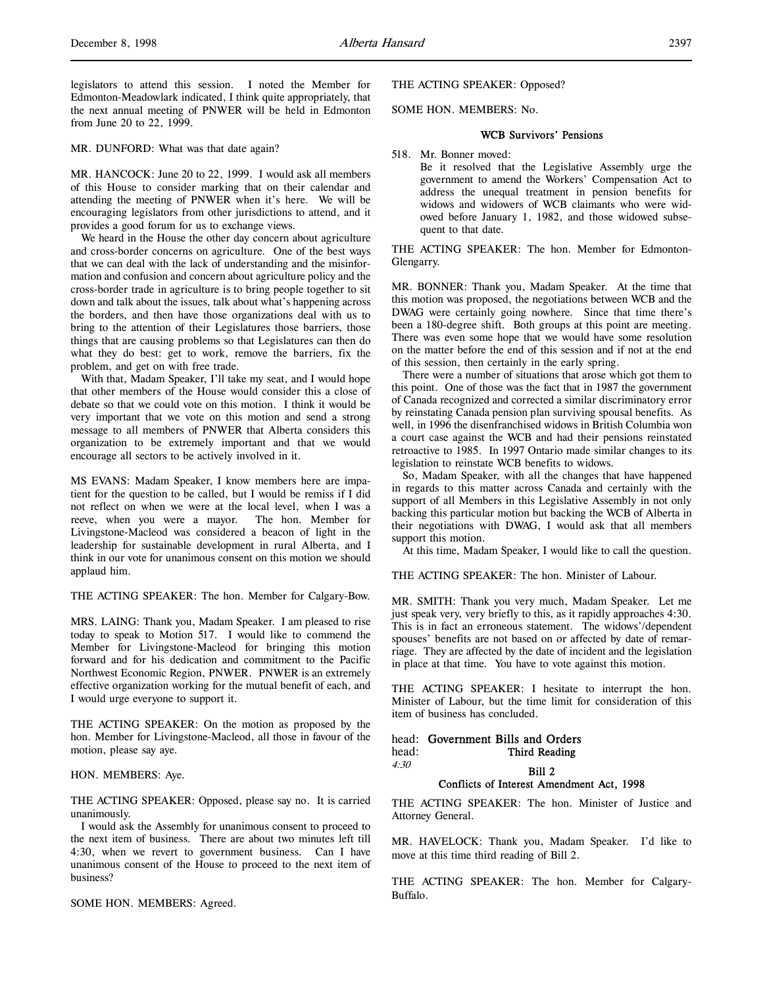legislators to attend this session. I noted the Member for Edmonton-Meadowlark indicated, I think quite appropriately, that the next annual meeting of PNWER will be held in Edmonton from June 20 to 22, 1999.

MR. DUNFORD: What was that date again?

MR. HANCOCK: June 20 to 22, 1999. I would ask all members of this House to consider marking that on their calendar and attending the meeting of PNWER when it's here. We will be encouraging legislators from other jurisdictions to attend, and it provides a good forum for us to exchange views.

We heard in the House the other day concern about agriculture and cross-border concerns on agriculture. One of the best ways that we can deal with the lack of understanding and the misinformation and confusion and concern about agriculture policy and the cross-border trade in agriculture is to bring people together to sit down and talk about the issues, talk about what's happening across the borders, and then have those organizations deal with us to bring to the attention of their Legislatures those barriers, those things that are causing problems so that Legislatures can then do what they do best: get to work, remove the barriers, fix the problem, and get on with free trade.

With that, Madam Speaker, I'll take my seat, and I would hope that other members of the House would consider this a close of debate so that we could vote on this motion. I think it would be very important that we vote on this motion and send a strong message to all members of PNWER that Alberta considers this organization to be extremely important and that we would encourage all sectors to be actively involved in it.

MS EVANS: Madam Speaker, I know members here are impatient for the question to be called, but I would be remiss if I did not reflect on when we were at the local level, when I was a reeve, when you were a mayor. The hon. Member for Livingstone-Macleod was considered a beacon of light in the leadership for sustainable development in rural Alberta, and I think in our vote for unanimous consent on this motion we should applaud him.

THE ACTING SPEAKER: The hon. Member for Calgary-Bow.

MRS. LAING: Thank you, Madam Speaker. I am pleased to rise today to speak to Motion 517. I would like to commend the Member for Livingstone-Macleod for bringing this motion forward and for his dedication and commitment to the Pacific Northwest Economic Region, PNWER. PNWER is an extremely effective organization working for the mutual benefit of each, and I would urge everyone to support it.

THE ACTING SPEAKER: On the motion as proposed by the hon. Member for Livingstone-Macleod, all those in favour of the motion, please say aye.

### HON. MEMBERS: Aye.

THE ACTING SPEAKER: Opposed, please say no. It is carried unanimously.

I would ask the Assembly for unanimous consent to proceed to the next item of business. There are about two minutes left till 4:30, when we revert to government business. Can I have unanimous consent of the House to proceed to the next item of business?

SOME HON. MEMBERS: Agreed.

THE ACTING SPEAKER: Opposed?

### SOME HON. MEMBERS: No.

#### WCB Survivors' Pensions

518. Mr. Bonner moved:

Be it resolved that the Legislative Assembly urge the government to amend the Workers' Compensation Act to address the unequal treatment in pension benefits for widows and widowers of WCB claimants who were widowed before January 1, 1982, and those widowed subsequent to that date.

THE ACTING SPEAKER: The hon. Member for Edmonton-Glengarry.

MR. BONNER: Thank you, Madam Speaker. At the time that this motion was proposed, the negotiations between WCB and the DWAG were certainly going nowhere. Since that time there's been a 180-degree shift. Both groups at this point are meeting. There was even some hope that we would have some resolution on the matter before the end of this session and if not at the end of this session, then certainly in the early spring.

There were a number of situations that arose which got them to this point. One of those was the fact that in 1987 the government of Canada recognized and corrected a similar discriminatory error by reinstating Canada pension plan surviving spousal benefits. As well, in 1996 the disenfranchised widows in British Columbia won a court case against the WCB and had their pensions reinstated retroactive to 1985. In 1997 Ontario made similar changes to its legislation to reinstate WCB benefits to widows.

So, Madam Speaker, with all the changes that have happened in regards to this matter across Canada and certainly with the support of all Members in this Legislative Assembly in not only backing this particular motion but backing the WCB of Alberta in their negotiations with DWAG, I would ask that all members support this motion.

At this time, Madam Speaker, I would like to call the question.

THE ACTING SPEAKER: The hon. Minister of Labour.

MR. SMITH: Thank you very much, Madam Speaker. Let me just speak very, very briefly to this, as it rapidly approaches 4:30. This is in fact an erroneous statement. The widows'/dependent spouses' benefits are not based on or affected by date of remarriage. They are affected by the date of incident and the legislation in place at that time. You have to vote against this motion.

THE ACTING SPEAKER: I hesitate to interrupt the hon. Minister of Labour, but the time limit for consideration of this item of business has concluded.

## head: Government Bills and Orders

head: Third Reading

# $4:30$  Bill 2

## Conflicts of Interest Amendment Act, 1998

THE ACTING SPEAKER: The hon. Minister of Justice and Attorney General.

MR. HAVELOCK: Thank you, Madam Speaker. I'd like to move at this time third reading of Bill 2.

THE ACTING SPEAKER: The hon. Member for Calgary-Buffalo.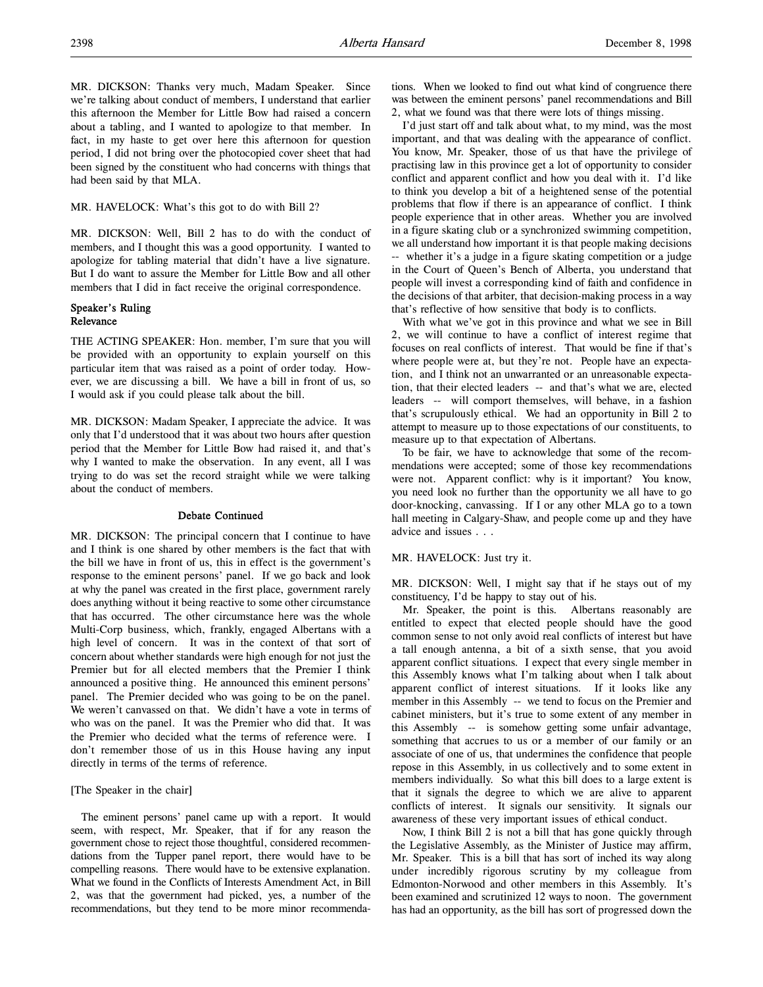MR. DICKSON: Thanks very much, Madam Speaker. Since we're talking about conduct of members, I understand that earlier this afternoon the Member for Little Bow had raised a concern about a tabling, and I wanted to apologize to that member. In fact, in my haste to get over here this afternoon for question period, I did not bring over the photocopied cover sheet that had been signed by the constituent who had concerns with things that had been said by that MLA.

### MR. HAVELOCK: What's this got to do with Bill 2?

MR. DICKSON: Well, Bill 2 has to do with the conduct of members, and I thought this was a good opportunity. I wanted to apologize for tabling material that didn't have a live signature. But I do want to assure the Member for Little Bow and all other members that I did in fact receive the original correspondence.

## Speaker's Ruling Relevance

THE ACTING SPEAKER: Hon. member, I'm sure that you will be provided with an opportunity to explain yourself on this particular item that was raised as a point of order today. However, we are discussing a bill. We have a bill in front of us, so I would ask if you could please talk about the bill.

MR. DICKSON: Madam Speaker, I appreciate the advice. It was only that I'd understood that it was about two hours after question period that the Member for Little Bow had raised it, and that's why I wanted to make the observation. In any event, all I was trying to do was set the record straight while we were talking about the conduct of members.

#### Debate Continued

MR. DICKSON: The principal concern that I continue to have and I think is one shared by other members is the fact that with the bill we have in front of us, this in effect is the government's response to the eminent persons' panel. If we go back and look at why the panel was created in the first place, government rarely does anything without it being reactive to some other circumstance that has occurred. The other circumstance here was the whole Multi-Corp business, which, frankly, engaged Albertans with a high level of concern. It was in the context of that sort of concern about whether standards were high enough for not just the Premier but for all elected members that the Premier I think announced a positive thing. He announced this eminent persons' panel. The Premier decided who was going to be on the panel. We weren't canvassed on that. We didn't have a vote in terms of who was on the panel. It was the Premier who did that. It was the Premier who decided what the terms of reference were. I don't remember those of us in this House having any input directly in terms of the terms of reference.

### [The Speaker in the chair]

The eminent persons' panel came up with a report. It would seem, with respect, Mr. Speaker, that if for any reason the government chose to reject those thoughtful, considered recommendations from the Tupper panel report, there would have to be compelling reasons. There would have to be extensive explanation. What we found in the Conflicts of Interests Amendment Act, in Bill 2, was that the government had picked, yes, a number of the recommendations, but they tend to be more minor recommendations. When we looked to find out what kind of congruence there was between the eminent persons' panel recommendations and Bill 2, what we found was that there were lots of things missing.

I'd just start off and talk about what, to my mind, was the most important, and that was dealing with the appearance of conflict. You know, Mr. Speaker, those of us that have the privilege of practising law in this province get a lot of opportunity to consider conflict and apparent conflict and how you deal with it. I'd like to think you develop a bit of a heightened sense of the potential problems that flow if there is an appearance of conflict. I think people experience that in other areas. Whether you are involved in a figure skating club or a synchronized swimming competition, we all understand how important it is that people making decisions -- whether it's a judge in a figure skating competition or a judge in the Court of Queen's Bench of Alberta, you understand that people will invest a corresponding kind of faith and confidence in the decisions of that arbiter, that decision-making process in a way that's reflective of how sensitive that body is to conflicts.

With what we've got in this province and what we see in Bill 2, we will continue to have a conflict of interest regime that focuses on real conflicts of interest. That would be fine if that's where people were at, but they're not. People have an expectation, and I think not an unwarranted or an unreasonable expectation, that their elected leaders -- and that's what we are, elected leaders -- will comport themselves, will behave, in a fashion that's scrupulously ethical. We had an opportunity in Bill 2 to attempt to measure up to those expectations of our constituents, to measure up to that expectation of Albertans.

To be fair, we have to acknowledge that some of the recommendations were accepted; some of those key recommendations were not. Apparent conflict: why is it important? You know, you need look no further than the opportunity we all have to go door-knocking, canvassing. If I or any other MLA go to a town hall meeting in Calgary-Shaw, and people come up and they have advice and issues . . .

#### MR. HAVELOCK: Just try it.

MR. DICKSON: Well, I might say that if he stays out of my constituency, I'd be happy to stay out of his.

Mr. Speaker, the point is this. Albertans reasonably are entitled to expect that elected people should have the good common sense to not only avoid real conflicts of interest but have a tall enough antenna, a bit of a sixth sense, that you avoid apparent conflict situations. I expect that every single member in this Assembly knows what I'm talking about when I talk about apparent conflict of interest situations. If it looks like any member in this Assembly -- we tend to focus on the Premier and cabinet ministers, but it's true to some extent of any member in this Assembly -- is somehow getting some unfair advantage, something that accrues to us or a member of our family or an associate of one of us, that undermines the confidence that people repose in this Assembly, in us collectively and to some extent in members individually. So what this bill does to a large extent is that it signals the degree to which we are alive to apparent conflicts of interest. It signals our sensitivity. It signals our awareness of these very important issues of ethical conduct.

Now, I think Bill 2 is not a bill that has gone quickly through the Legislative Assembly, as the Minister of Justice may affirm, Mr. Speaker. This is a bill that has sort of inched its way along under incredibly rigorous scrutiny by my colleague from Edmonton-Norwood and other members in this Assembly. It's been examined and scrutinized 12 ways to noon. The government has had an opportunity, as the bill has sort of progressed down the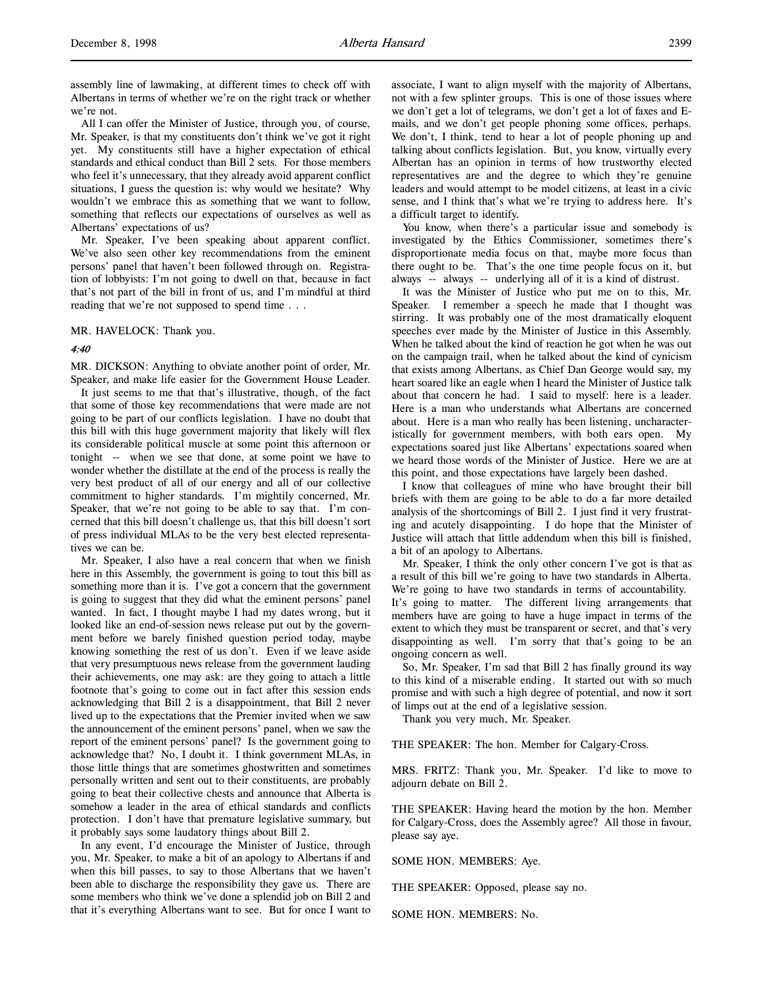assembly line of lawmaking, at different times to check off with Albertans in terms of whether we're on the right track or whether we're not.

All I can offer the Minister of Justice, through you, of course, Mr. Speaker, is that my constituents don't think we've got it right yet. My constituents still have a higher expectation of ethical standards and ethical conduct than Bill 2 sets. For those members who feel it's unnecessary, that they already avoid apparent conflict situations, I guess the question is: why would we hesitate? Why wouldn't we embrace this as something that we want to follow, something that reflects our expectations of ourselves as well as Albertans' expectations of us?

Mr. Speaker, I've been speaking about apparent conflict. We've also seen other key recommendations from the eminent persons' panel that haven't been followed through on. Registration of lobbyists: I'm not going to dwell on that, because in fact that's not part of the bill in front of us, and I'm mindful at third reading that we're not supposed to spend time . . .

MR. HAVELOCK: Thank you.

### 4:40

MR. DICKSON: Anything to obviate another point of order, Mr. Speaker, and make life easier for the Government House Leader.

It just seems to me that that's illustrative, though, of the fact that some of those key recommendations that were made are not going to be part of our conflicts legislation. I have no doubt that this bill with this huge government majority that likely will flex its considerable political muscle at some point this afternoon or tonight -- when we see that done, at some point we have to wonder whether the distillate at the end of the process is really the very best product of all of our energy and all of our collective commitment to higher standards. I'm mightily concerned, Mr. Speaker, that we're not going to be able to say that. I'm concerned that this bill doesn't challenge us, that this bill doesn't sort of press individual MLAs to be the very best elected representatives we can be.

Mr. Speaker, I also have a real concern that when we finish here in this Assembly, the government is going to tout this bill as something more than it is. I've got a concern that the government is going to suggest that they did what the eminent persons' panel wanted. In fact, I thought maybe I had my dates wrong, but it looked like an end-of-session news release put out by the government before we barely finished question period today, maybe knowing something the rest of us don't. Even if we leave aside that very presumptuous news release from the government lauding their achievements, one may ask: are they going to attach a little footnote that's going to come out in fact after this session ends acknowledging that Bill 2 is a disappointment, that Bill 2 never lived up to the expectations that the Premier invited when we saw the announcement of the eminent persons' panel, when we saw the report of the eminent persons' panel? Is the government going to acknowledge that? No, I doubt it. I think government MLAs, in those little things that are sometimes ghostwritten and sometimes personally written and sent out to their constituents, are probably going to beat their collective chests and announce that Alberta is somehow a leader in the area of ethical standards and conflicts protection. I don't have that premature legislative summary, but it probably says some laudatory things about Bill 2.

In any event, I'd encourage the Minister of Justice, through you, Mr. Speaker, to make a bit of an apology to Albertans if and when this bill passes, to say to those Albertans that we haven't been able to discharge the responsibility they gave us. There are some members who think we've done a splendid job on Bill 2 and that it's everything Albertans want to see. But for once I want to

associate, I want to align myself with the majority of Albertans, not with a few splinter groups. This is one of those issues where we don't get a lot of telegrams, we don't get a lot of faxes and Emails, and we don't get people phoning some offices, perhaps. We don't, I think, tend to hear a lot of people phoning up and talking about conflicts legislation. But, you know, virtually every Albertan has an opinion in terms of how trustworthy elected representatives are and the degree to which they're genuine leaders and would attempt to be model citizens, at least in a civic sense, and I think that's what we're trying to address here. It's a difficult target to identify.

You know, when there's a particular issue and somebody is investigated by the Ethics Commissioner, sometimes there's disproportionate media focus on that, maybe more focus than there ought to be. That's the one time people focus on it, but always -- always -- underlying all of it is a kind of distrust.

It was the Minister of Justice who put me on to this, Mr. Speaker. I remember a speech he made that I thought was stirring. It was probably one of the most dramatically eloquent speeches ever made by the Minister of Justice in this Assembly. When he talked about the kind of reaction he got when he was out on the campaign trail, when he talked about the kind of cynicism that exists among Albertans, as Chief Dan George would say, my heart soared like an eagle when I heard the Minister of Justice talk about that concern he had. I said to myself: here is a leader. Here is a man who understands what Albertans are concerned about. Here is a man who really has been listening, uncharacteristically for government members, with both ears open. My expectations soared just like Albertans' expectations soared when we heard those words of the Minister of Justice. Here we are at this point, and those expectations have largely been dashed.

I know that colleagues of mine who have brought their bill briefs with them are going to be able to do a far more detailed analysis of the shortcomings of Bill 2. I just find it very frustrating and acutely disappointing. I do hope that the Minister of Justice will attach that little addendum when this bill is finished, a bit of an apology to Albertans.

Mr. Speaker, I think the only other concern I've got is that as a result of this bill we're going to have two standards in Alberta. We're going to have two standards in terms of accountability. It's going to matter. The different living arrangements that members have are going to have a huge impact in terms of the extent to which they must be transparent or secret, and that's very disappointing as well. I'm sorry that that's going to be an ongoing concern as well.

So, Mr. Speaker, I'm sad that Bill 2 has finally ground its way to this kind of a miserable ending. It started out with so much promise and with such a high degree of potential, and now it sort of limps out at the end of a legislative session.

Thank you very much, Mr. Speaker.

THE SPEAKER: The hon. Member for Calgary-Cross.

MRS. FRITZ: Thank you, Mr. Speaker. I'd like to move to adjourn debate on Bill 2.

THE SPEAKER: Having heard the motion by the hon. Member for Calgary-Cross, does the Assembly agree? All those in favour, please say aye.

SOME HON. MEMBERS: Aye.

THE SPEAKER: Opposed, please say no.

SOME HON. MEMBERS: No.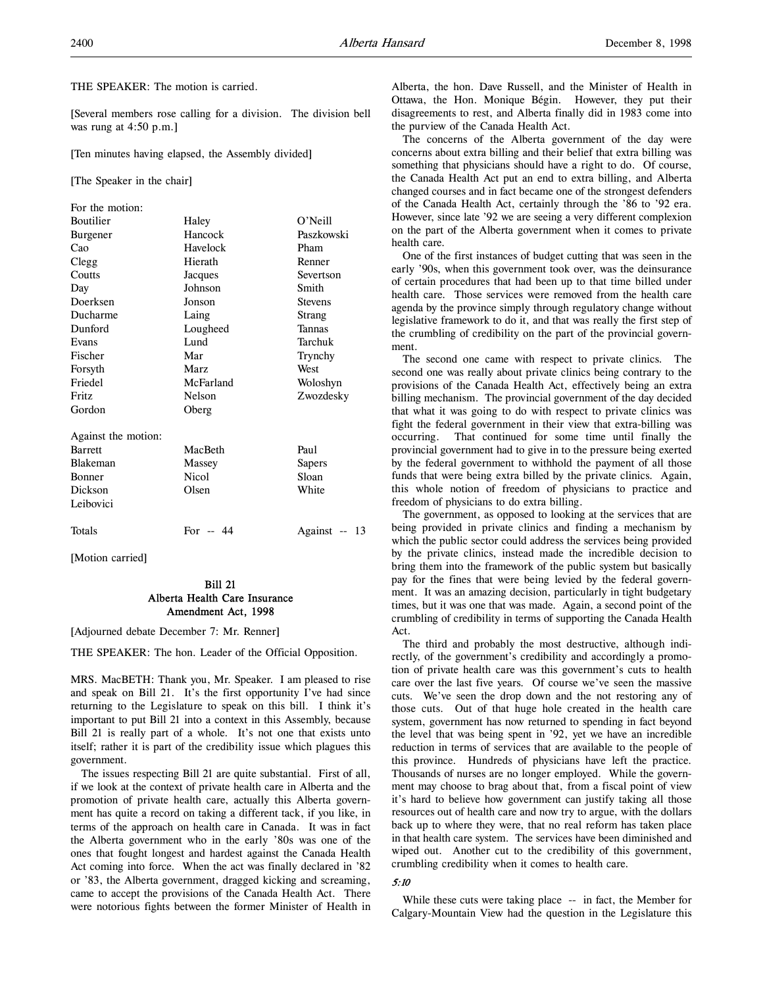THE SPEAKER: The motion is carried.

[Several members rose calling for a division. The division bell was rung at 4:50 p.m.]

[Ten minutes having elapsed, the Assembly divided]

[The Speaker in the chair]

| Paszkowski    |
|---------------|
|               |
|               |
|               |
|               |
|               |
|               |
|               |
|               |
|               |
|               |
|               |
|               |
|               |
| Zwozdesky     |
|               |
|               |
|               |
|               |
|               |
|               |
|               |
| Against -- 13 |
| Woloshyn      |

[Motion carried]

## Bill 21 Alberta Health Care Insurance Amendment Act, 1998

[Adjourned debate December 7: Mr. Renner]

THE SPEAKER: The hon. Leader of the Official Opposition.

MRS. MacBETH: Thank you, Mr. Speaker. I am pleased to rise and speak on Bill 21. It's the first opportunity I've had since returning to the Legislature to speak on this bill. I think it's important to put Bill 21 into a context in this Assembly, because Bill 21 is really part of a whole. It's not one that exists unto itself; rather it is part of the credibility issue which plagues this government.

The issues respecting Bill 21 are quite substantial. First of all, if we look at the context of private health care in Alberta and the promotion of private health care, actually this Alberta government has quite a record on taking a different tack, if you like, in terms of the approach on health care in Canada. It was in fact the Alberta government who in the early '80s was one of the ones that fought longest and hardest against the Canada Health Act coming into force. When the act was finally declared in '82 or '83, the Alberta government, dragged kicking and screaming, came to accept the provisions of the Canada Health Act. There were notorious fights between the former Minister of Health in

Alberta, the hon. Dave Russell, and the Minister of Health in Ottawa, the Hon. Monique Bégin. However, they put their disagreements to rest, and Alberta finally did in 1983 come into the purview of the Canada Health Act.

The concerns of the Alberta government of the day were concerns about extra billing and their belief that extra billing was something that physicians should have a right to do. Of course, the Canada Health Act put an end to extra billing, and Alberta changed courses and in fact became one of the strongest defenders of the Canada Health Act, certainly through the '86 to '92 era. However, since late '92 we are seeing a very different complexion on the part of the Alberta government when it comes to private health care.

One of the first instances of budget cutting that was seen in the early '90s, when this government took over, was the deinsurance of certain procedures that had been up to that time billed under health care. Those services were removed from the health care agenda by the province simply through regulatory change without legislative framework to do it, and that was really the first step of the crumbling of credibility on the part of the provincial government.

The second one came with respect to private clinics. The second one was really about private clinics being contrary to the provisions of the Canada Health Act, effectively being an extra billing mechanism. The provincial government of the day decided that what it was going to do with respect to private clinics was fight the federal government in their view that extra-billing was occurring. That continued for some time until finally the provincial government had to give in to the pressure being exerted by the federal government to withhold the payment of all those funds that were being extra billed by the private clinics. Again, this whole notion of freedom of physicians to practice and freedom of physicians to do extra billing.

The government, as opposed to looking at the services that are being provided in private clinics and finding a mechanism by which the public sector could address the services being provided by the private clinics, instead made the incredible decision to bring them into the framework of the public system but basically pay for the fines that were being levied by the federal government. It was an amazing decision, particularly in tight budgetary times, but it was one that was made. Again, a second point of the crumbling of credibility in terms of supporting the Canada Health Act.

The third and probably the most destructive, although indirectly, of the government's credibility and accordingly a promotion of private health care was this government's cuts to health care over the last five years. Of course we've seen the massive cuts. We've seen the drop down and the not restoring any of those cuts. Out of that huge hole created in the health care system, government has now returned to spending in fact beyond the level that was being spent in '92, yet we have an incredible reduction in terms of services that are available to the people of this province. Hundreds of physicians have left the practice. Thousands of nurses are no longer employed. While the government may choose to brag about that, from a fiscal point of view it's hard to believe how government can justify taking all those resources out of health care and now try to argue, with the dollars back up to where they were, that no real reform has taken place in that health care system. The services have been diminished and wiped out. Another cut to the credibility of this government, crumbling credibility when it comes to health care.

### 5:10

While these cuts were taking place -- in fact, the Member for Calgary-Mountain View had the question in the Legislature this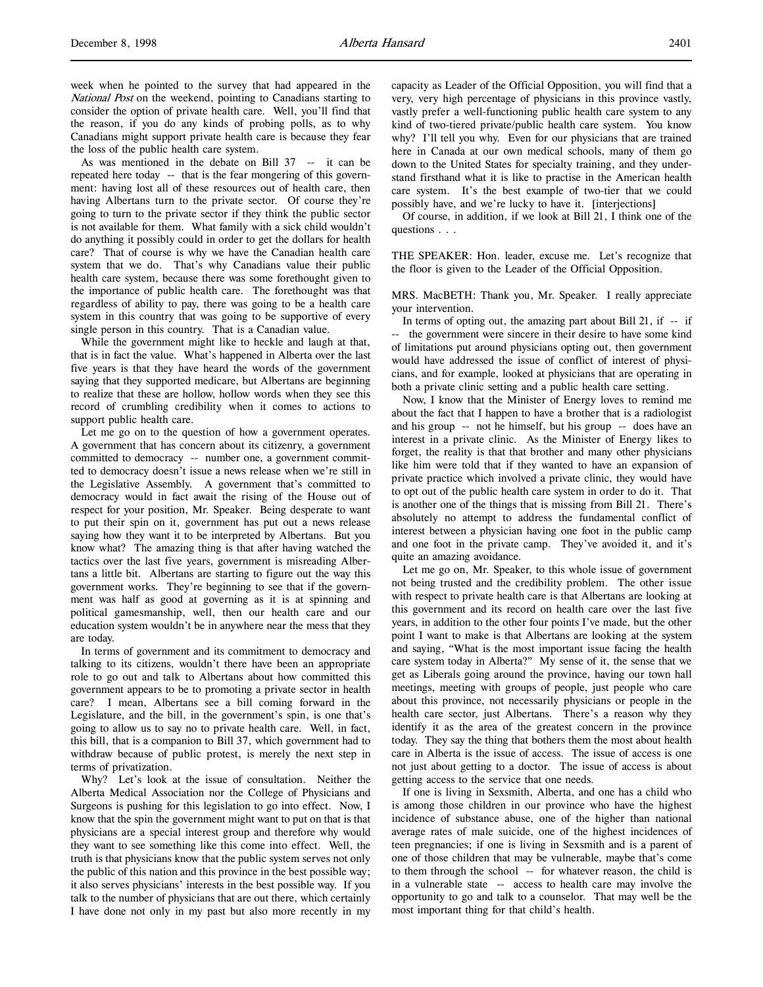week when he pointed to the survey that had appeared in the National Post on the weekend, pointing to Canadians starting to consider the option of private health care. Well, you'll find that the reason, if you do any kinds of probing polls, as to why Canadians might support private health care is because they fear the loss of the public health care system.

As was mentioned in the debate on Bill 37 -- it can be repeated here today -- that is the fear mongering of this government: having lost all of these resources out of health care, then having Albertans turn to the private sector. Of course they're going to turn to the private sector if they think the public sector is not available for them. What family with a sick child wouldn't do anything it possibly could in order to get the dollars for health care? That of course is why we have the Canadian health care system that we do. That's why Canadians value their public health care system, because there was some forethought given to the importance of public health care. The forethought was that regardless of ability to pay, there was going to be a health care system in this country that was going to be supportive of every single person in this country. That is a Canadian value.

While the government might like to heckle and laugh at that, that is in fact the value. What's happened in Alberta over the last five years is that they have heard the words of the government saying that they supported medicare, but Albertans are beginning to realize that these are hollow, hollow words when they see this record of crumbling credibility when it comes to actions to support public health care.

Let me go on to the question of how a government operates. A government that has concern about its citizenry, a government committed to democracy -- number one, a government committed to democracy doesn't issue a news release when we're still in the Legislative Assembly. A government that's committed to democracy would in fact await the rising of the House out of respect for your position, Mr. Speaker. Being desperate to want to put their spin on it, government has put out a news release saying how they want it to be interpreted by Albertans. But you know what? The amazing thing is that after having watched the tactics over the last five years, government is misreading Albertans a little bit. Albertans are starting to figure out the way this government works. They're beginning to see that if the government was half as good at governing as it is at spinning and political gamesmanship, well, then our health care and our education system wouldn't be in anywhere near the mess that they are today.

In terms of government and its commitment to democracy and talking to its citizens, wouldn't there have been an appropriate role to go out and talk to Albertans about how committed this government appears to be to promoting a private sector in health care? I mean, Albertans see a bill coming forward in the Legislature, and the bill, in the government's spin, is one that's going to allow us to say no to private health care. Well, in fact, this bill, that is a companion to Bill 37, which government had to withdraw because of public protest, is merely the next step in terms of privatization.

Why? Let's look at the issue of consultation. Neither the Alberta Medical Association nor the College of Physicians and Surgeons is pushing for this legislation to go into effect. Now, I know that the spin the government might want to put on that is that physicians are a special interest group and therefore why would they want to see something like this come into effect. Well, the truth is that physicians know that the public system serves not only the public of this nation and this province in the best possible way; it also serves physicians' interests in the best possible way. If you talk to the number of physicians that are out there, which certainly I have done not only in my past but also more recently in my

capacity as Leader of the Official Opposition, you will find that a very, very high percentage of physicians in this province vastly, vastly prefer a well-functioning public health care system to any kind of two-tiered private/public health care system. You know why? I'll tell you why. Even for our physicians that are trained here in Canada at our own medical schools, many of them go down to the United States for specialty training, and they understand firsthand what it is like to practise in the American health care system. It's the best example of two-tier that we could possibly have, and we're lucky to have it. [interjections]

Of course, in addition, if we look at Bill 21, I think one of the questions . . .

THE SPEAKER: Hon. leader, excuse me. Let's recognize that the floor is given to the Leader of the Official Opposition.

MRS. MacBETH: Thank you, Mr. Speaker. I really appreciate your intervention.

In terms of opting out, the amazing part about Bill 21, if -- if -- the government were sincere in their desire to have some kind of limitations put around physicians opting out, then government would have addressed the issue of conflict of interest of physicians, and for example, looked at physicians that are operating in both a private clinic setting and a public health care setting.

Now, I know that the Minister of Energy loves to remind me about the fact that I happen to have a brother that is a radiologist and his group -- not he himself, but his group -- does have an interest in a private clinic. As the Minister of Energy likes to forget, the reality is that that brother and many other physicians like him were told that if they wanted to have an expansion of private practice which involved a private clinic, they would have to opt out of the public health care system in order to do it. That is another one of the things that is missing from Bill 21. There's absolutely no attempt to address the fundamental conflict of interest between a physician having one foot in the public camp and one foot in the private camp. They've avoided it, and it's quite an amazing avoidance.

Let me go on, Mr. Speaker, to this whole issue of government not being trusted and the credibility problem. The other issue with respect to private health care is that Albertans are looking at this government and its record on health care over the last five years, in addition to the other four points I've made, but the other point I want to make is that Albertans are looking at the system and saying, "What is the most important issue facing the health care system today in Alberta?" My sense of it, the sense that we get as Liberals going around the province, having our town hall meetings, meeting with groups of people, just people who care about this province, not necessarily physicians or people in the health care sector, just Albertans. There's a reason why they identify it as the area of the greatest concern in the province today. They say the thing that bothers them the most about health care in Alberta is the issue of access. The issue of access is one not just about getting to a doctor. The issue of access is about getting access to the service that one needs.

If one is living in Sexsmith, Alberta, and one has a child who is among those children in our province who have the highest incidence of substance abuse, one of the higher than national average rates of male suicide, one of the highest incidences of teen pregnancies; if one is living in Sexsmith and is a parent of one of those children that may be vulnerable, maybe that's come to them through the school -- for whatever reason, the child is in a vulnerable state -- access to health care may involve the opportunity to go and talk to a counselor. That may well be the most important thing for that child's health.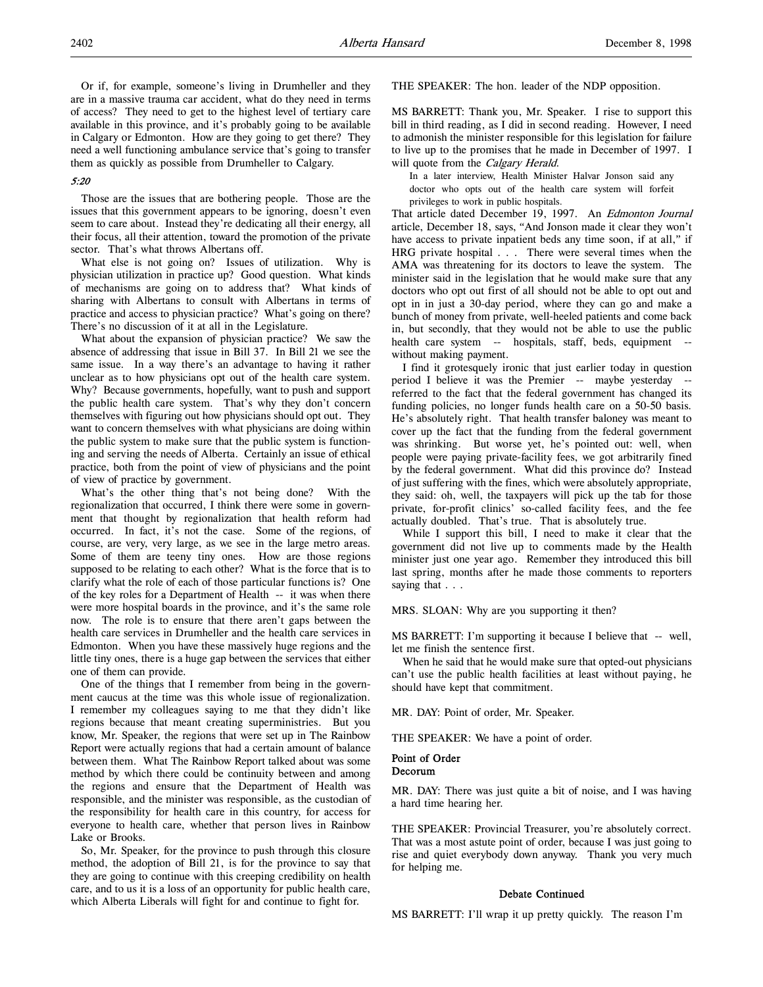Or if, for example, someone's living in Drumheller and they are in a massive trauma car accident, what do they need in terms of access? They need to get to the highest level of tertiary care available in this province, and it's probably going to be available in Calgary or Edmonton. How are they going to get there? They need a well functioning ambulance service that's going to transfer them as quickly as possible from Drumheller to Calgary.

### 5:20

Those are the issues that are bothering people. Those are the issues that this government appears to be ignoring, doesn't even seem to care about. Instead they're dedicating all their energy, all their focus, all their attention, toward the promotion of the private sector. That's what throws Albertans off.

What else is not going on? Issues of utilization. Why is physician utilization in practice up? Good question. What kinds of mechanisms are going on to address that? What kinds of sharing with Albertans to consult with Albertans in terms of practice and access to physician practice? What's going on there? There's no discussion of it at all in the Legislature.

What about the expansion of physician practice? We saw the absence of addressing that issue in Bill 37. In Bill 21 we see the same issue. In a way there's an advantage to having it rather unclear as to how physicians opt out of the health care system. Why? Because governments, hopefully, want to push and support the public health care system. That's why they don't concern themselves with figuring out how physicians should opt out. They want to concern themselves with what physicians are doing within the public system to make sure that the public system is functioning and serving the needs of Alberta. Certainly an issue of ethical practice, both from the point of view of physicians and the point of view of practice by government.

What's the other thing that's not being done? With the regionalization that occurred, I think there were some in government that thought by regionalization that health reform had occurred. In fact, it's not the case. Some of the regions, of course, are very, very large, as we see in the large metro areas. Some of them are teeny tiny ones. How are those regions supposed to be relating to each other? What is the force that is to clarify what the role of each of those particular functions is? One of the key roles for a Department of Health -- it was when there were more hospital boards in the province, and it's the same role now. The role is to ensure that there aren't gaps between the health care services in Drumheller and the health care services in Edmonton. When you have these massively huge regions and the little tiny ones, there is a huge gap between the services that either one of them can provide.

One of the things that I remember from being in the government caucus at the time was this whole issue of regionalization. I remember my colleagues saying to me that they didn't like regions because that meant creating superministries. But you know, Mr. Speaker, the regions that were set up in The Rainbow Report were actually regions that had a certain amount of balance between them. What The Rainbow Report talked about was some method by which there could be continuity between and among the regions and ensure that the Department of Health was responsible, and the minister was responsible, as the custodian of the responsibility for health care in this country, for access for everyone to health care, whether that person lives in Rainbow Lake or Brooks.

So, Mr. Speaker, for the province to push through this closure method, the adoption of Bill 21, is for the province to say that they are going to continue with this creeping credibility on health care, and to us it is a loss of an opportunity for public health care, which Alberta Liberals will fight for and continue to fight for.

THE SPEAKER: The hon. leader of the NDP opposition.

MS BARRETT: Thank you, Mr. Speaker. I rise to support this bill in third reading, as I did in second reading. However, I need to admonish the minister responsible for this legislation for failure to live up to the promises that he made in December of 1997. I will quote from the *Calgary Herald*.

In a later interview, Health Minister Halvar Jonson said any doctor who opts out of the health care system will forfeit privileges to work in public hospitals.

That article dated December 19, 1997. An Edmonton Journal article, December 18, says, "And Jonson made it clear they won't have access to private inpatient beds any time soon, if at all," if HRG private hospital . . . There were several times when the AMA was threatening for its doctors to leave the system. The minister said in the legislation that he would make sure that any doctors who opt out first of all should not be able to opt out and opt in in just a 30-day period, where they can go and make a bunch of money from private, well-heeled patients and come back in, but secondly, that they would not be able to use the public health care system -- hospitals, staff, beds, equipment - without making payment.

I find it grotesquely ironic that just earlier today in question period I believe it was the Premier -- maybe yesterday referred to the fact that the federal government has changed its funding policies, no longer funds health care on a 50-50 basis. He's absolutely right. That health transfer baloney was meant to cover up the fact that the funding from the federal government was shrinking. But worse yet, he's pointed out: well, when people were paying private-facility fees, we got arbitrarily fined by the federal government. What did this province do? Instead of just suffering with the fines, which were absolutely appropriate, they said: oh, well, the taxpayers will pick up the tab for those private, for-profit clinics' so-called facility fees, and the fee actually doubled. That's true. That is absolutely true.

While I support this bill, I need to make it clear that the government did not live up to comments made by the Health minister just one year ago. Remember they introduced this bill last spring, months after he made those comments to reporters saying that . . .

MRS. SLOAN: Why are you supporting it then?

MS BARRETT: I'm supporting it because I believe that -- well, let me finish the sentence first.

When he said that he would make sure that opted-out physicians can't use the public health facilities at least without paying, he should have kept that commitment.

MR. DAY: Point of order, Mr. Speaker.

THE SPEAKER: We have a point of order.

## Point of Order

Decorum

MR. DAY: There was just quite a bit of noise, and I was having a hard time hearing her.

THE SPEAKER: Provincial Treasurer, you're absolutely correct. That was a most astute point of order, because I was just going to rise and quiet everybody down anyway. Thank you very much for helping me.

#### Debate Continued

MS BARRETT: I'll wrap it up pretty quickly. The reason I'm